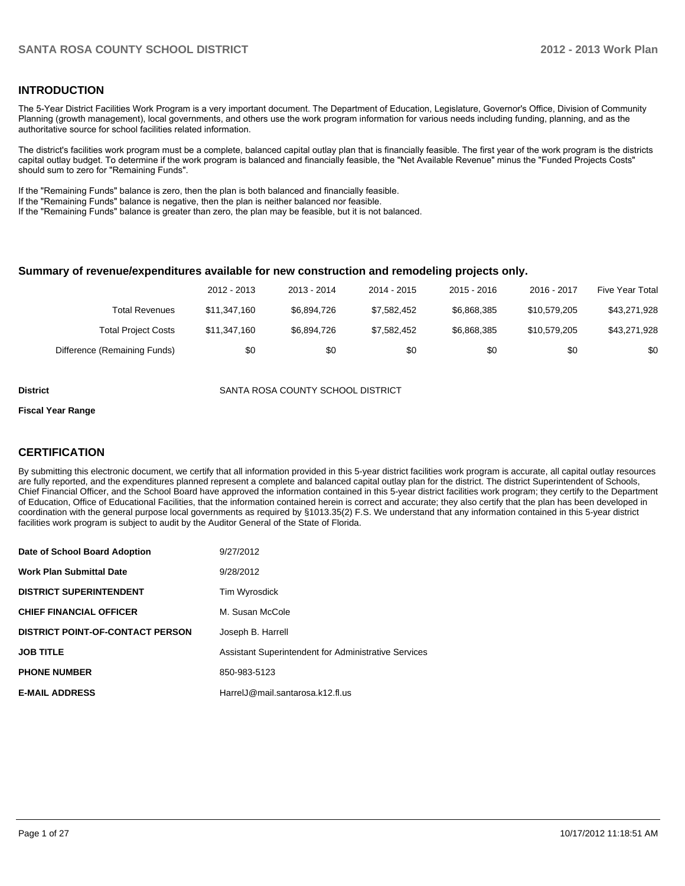## **INTRODUCTION**

The 5-Year District Facilities Work Program is a very important document. The Department of Education, Legislature, Governor's Office, Division of Community Planning (growth management), local governments, and others use the work program information for various needs including funding, planning, and as the authoritative source for school facilities related information.

The district's facilities work program must be a complete, balanced capital outlay plan that is financially feasible. The first year of the work program is the districts capital outlay budget. To determine if the work program is balanced and financially feasible, the "Net Available Revenue" minus the "Funded Projects Costs" should sum to zero for "Remaining Funds".

If the "Remaining Funds" balance is zero, then the plan is both balanced and financially feasible.

If the "Remaining Funds" balance is negative, then the plan is neither balanced nor feasible.

If the "Remaining Funds" balance is greater than zero, the plan may be feasible, but it is not balanced.

#### **Summary of revenue/expenditures available for new construction and remodeling projects only.**

|                              | 2012 - 2013  | 2013 - 2014 | 2014 - 2015 | $2015 - 2016$ | 2016 - 2017  | Five Year Total |
|------------------------------|--------------|-------------|-------------|---------------|--------------|-----------------|
| Total Revenues               | \$11.347.160 | \$6.894.726 | \$7.582.452 | \$6.868,385   | \$10.579.205 | \$43,271,928    |
| <b>Total Project Costs</b>   | \$11,347,160 | \$6.894.726 | \$7.582.452 | \$6.868,385   | \$10.579.205 | \$43,271,928    |
| Difference (Remaining Funds) | \$0          | \$0         | \$0         | \$0           | \$0          | \$0             |

**District** SANTA ROSA COUNTY SCHOOL DISTRICT

#### **Fiscal Year Range**

## **CERTIFICATION**

By submitting this electronic document, we certify that all information provided in this 5-year district facilities work program is accurate, all capital outlay resources are fully reported, and the expenditures planned represent a complete and balanced capital outlay plan for the district. The district Superintendent of Schools, Chief Financial Officer, and the School Board have approved the information contained in this 5-year district facilities work program; they certify to the Department of Education, Office of Educational Facilities, that the information contained herein is correct and accurate; they also certify that the plan has been developed in coordination with the general purpose local governments as required by §1013.35(2) F.S. We understand that any information contained in this 5-year district facilities work program is subject to audit by the Auditor General of the State of Florida.

| Date of School Board Adoption           | 9/27/2012                                            |
|-----------------------------------------|------------------------------------------------------|
| <b>Work Plan Submittal Date</b>         | 9/28/2012                                            |
| <b>DISTRICT SUPERINTENDENT</b>          | Tim Wyrosdick                                        |
| <b>CHIEF FINANCIAL OFFICER</b>          | M. Susan McCole                                      |
| <b>DISTRICT POINT-OF-CONTACT PERSON</b> | Joseph B. Harrell                                    |
| <b>JOB TITLE</b>                        | Assistant Superintendent for Administrative Services |
| <b>PHONE NUMBER</b>                     | 850-983-5123                                         |
| <b>E-MAIL ADDRESS</b>                   | HarrelJ@mail.santarosa.k12.fl.us                     |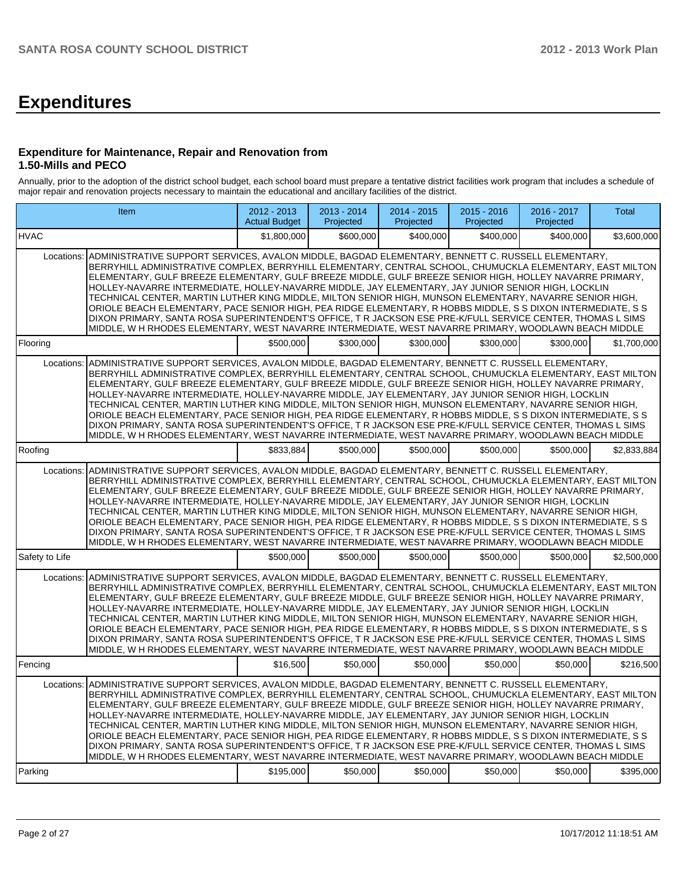# **Expenditures**

### **Expenditure for Maintenance, Repair and Renovation from 1.50-Mills and PECO**

Annually, prior to the adoption of the district school budget, each school board must prepare a tentative district facilities work program that includes a schedule of major repair and renovation projects necessary to maintain the educational and ancillary facilities of the district.

|                       | Item                                                                                                                                                                                                                                                                                                                                                                                                                                                                                                                                                                                                                                                                                                                                                                                                                                                                                  | 2012 - 2013<br><b>Actual Budget</b> | $2013 - 2014$<br>Projected | $2014 - 2015$<br>Projected | $2015 - 2016$<br>Projected | 2016 - 2017<br>Projected | <b>Total</b> |
|-----------------------|---------------------------------------------------------------------------------------------------------------------------------------------------------------------------------------------------------------------------------------------------------------------------------------------------------------------------------------------------------------------------------------------------------------------------------------------------------------------------------------------------------------------------------------------------------------------------------------------------------------------------------------------------------------------------------------------------------------------------------------------------------------------------------------------------------------------------------------------------------------------------------------|-------------------------------------|----------------------------|----------------------------|----------------------------|--------------------------|--------------|
| <b>HVAC</b>           |                                                                                                                                                                                                                                                                                                                                                                                                                                                                                                                                                                                                                                                                                                                                                                                                                                                                                       | \$1.800.000                         | \$600,000                  | \$400,000                  | \$400.000                  | \$400.000                | \$3,600,000  |
| Locations:            | ADMINISTRATIVE SUPPORT SERVICES, AVALON MIDDLE, BAGDAD ELEMENTARY, BENNETT C. RUSSELL ELEMENTARY,<br>BERRYHILL ADMINISTRATIVE COMPLEX, BERRYHILL ELEMENTARY, CENTRAL SCHOOL, CHUMUCKLA ELEMENTARY, EAST MILTON<br>ELEMENTARY, GULF BREEZE ELEMENTARY, GULF BREEZE MIDDLE, GULF BREEZE SENIOR HIGH, HOLLEY NAVARRE PRIMARY,<br>HOLLEY-NAVARRE INTERMEDIATE, HOLLEY-NAVARRE MIDDLE, JAY ELEMENTARY, JAY JUNIOR SENIOR HIGH, LOCKLIN<br>TECHNICAL CENTER, MARTIN LUTHER KING MIDDLE, MILTON SENIOR HIGH, MUNSON ELEMENTARY, NAVARRE SENIOR HIGH,<br>ORIOLE BEACH ELEMENTARY, PACE SENIOR HIGH, PEA RIDGE ELEMENTARY, R HOBBS MIDDLE, S S DIXON INTERMEDIATE, S S<br>DIXON PRIMARY, SANTA ROSA SUPERINTENDENT'S OFFICE, T R JACKSON ESE PRE-K/FULL SERVICE CENTER, THOMAS L SIMS<br>MIDDLE, W H RHODES ELEMENTARY, WEST NAVARRE INTERMEDIATE, WEST NAVARRE PRIMARY, WOODLAWN BEACH MIDDLE |                                     |                            |                            |                            |                          |              |
| Flooring              |                                                                                                                                                                                                                                                                                                                                                                                                                                                                                                                                                                                                                                                                                                                                                                                                                                                                                       | \$500,000                           | \$300,000                  | \$300,000                  | \$300,000                  | \$300,000                | \$1,700,000  |
| Locations:            | ADMINISTRATIVE SUPPORT SERVICES, AVALON MIDDLE, BAGDAD ELEMENTARY, BENNETT C. RUSSELL ELEMENTARY,<br>BERRYHILL ADMINISTRATIVE COMPLEX, BERRYHILL ELEMENTARY, CENTRAL SCHOOL, CHUMUCKLA ELEMENTARY, EAST MILTON<br>ELEMENTARY, GULF BREEZE ELEMENTARY, GULF BREEZE MIDDLE, GULF BREEZE SENIOR HIGH, HOLLEY NAVARRE PRIMARY,<br>HOLLEY-NAVARRE INTERMEDIATE, HOLLEY-NAVARRE MIDDLE, JAY ELEMENTARY, JAY JUNIOR SENIOR HIGH, LOCKLIN<br>TECHNICAL CENTER, MARTIN LUTHER KING MIDDLE, MILTON SENIOR HIGH, MUNSON ELEMENTARY, NAVARRE SENIOR HIGH,<br>ORIOLE BEACH ELEMENTARY, PACE SENIOR HIGH, PEA RIDGE ELEMENTARY, R HOBBS MIDDLE, S S DIXON INTERMEDIATE, S S<br>DIXON PRIMARY, SANTA ROSA SUPERINTENDENT'S OFFICE, T R JACKSON ESE PRE-K/FULL SERVICE CENTER, THOMAS L SIMS<br>MIDDLE, W H RHODES ELEMENTARY, WEST NAVARRE INTERMEDIATE, WEST NAVARRE PRIMARY, WOODLAWN BEACH MIDDLE |                                     |                            |                            |                            |                          |              |
| Roofing               |                                                                                                                                                                                                                                                                                                                                                                                                                                                                                                                                                                                                                                                                                                                                                                                                                                                                                       | \$833,884                           | \$500,000                  | \$500,000                  | \$500,000                  | \$500,000                | \$2,833,884  |
| Locations:            | ADMINISTRATIVE SUPPORT SERVICES, AVALON MIDDLE, BAGDAD ELEMENTARY, BENNETT C. RUSSELL ELEMENTARY,<br>BERRYHILL ADMINISTRATIVE COMPLEX, BERRYHILL ELEMENTARY, CENTRAL SCHOOL, CHUMUCKLA ELEMENTARY, EAST MILTON<br>ELEMENTARY, GULF BREEZE ELEMENTARY, GULF BREEZE MIDDLE, GULF BREEZE SENIOR HIGH, HOLLEY NAVARRE PRIMARY,<br>HOLLEY-NAVARRE INTERMEDIATE, HOLLEY-NAVARRE MIDDLE, JAY ELEMENTARY, JAY JUNIOR SENIOR HIGH, LOCKLIN<br>TECHNICAL CENTER, MARTIN LUTHER KING MIDDLE, MILTON SENIOR HIGH, MUNSON ELEMENTARY, NAVARRE SENIOR HIGH,<br>ORIOLE BEACH ELEMENTARY, PACE SENIOR HIGH, PEA RIDGE ELEMENTARY, R HOBBS MIDDLE, S S DIXON INTERMEDIATE, S S<br>DIXON PRIMARY, SANTA ROSA SUPERINTENDENT'S OFFICE, T R JACKSON ESE PRE-K/FULL SERVICE CENTER, THOMAS L SIMS<br>MIDDLE, W H RHODES ELEMENTARY, WEST NAVARRE INTERMEDIATE, WEST NAVARRE PRIMARY, WOODLAWN BEACH MIDDLE |                                     |                            |                            |                            |                          |              |
| Safety to Life        |                                                                                                                                                                                                                                                                                                                                                                                                                                                                                                                                                                                                                                                                                                                                                                                                                                                                                       | \$500,000                           | \$500,000                  | \$500,000                  | \$500.000                  | \$500,000                | \$2,500,000  |
| Locations:            | ADMINISTRATIVE SUPPORT SERVICES, AVALON MIDDLE, BAGDAD ELEMENTARY, BENNETT C. RUSSELL ELEMENTARY,<br>BERRYHILL ADMINISTRATIVE COMPLEX, BERRYHILL ELEMENTARY, CENTRAL SCHOOL, CHUMUCKLA ELEMENTARY, EAST MILTON<br>ELEMENTARY, GULF BREEZE ELEMENTARY, GULF BREEZE MIDDLE, GULF BREEZE SENIOR HIGH, HOLLEY NAVARRE PRIMARY,<br>HOLLEY-NAVARRE INTERMEDIATE, HOLLEY-NAVARRE MIDDLE, JAY ELEMENTARY, JAY JUNIOR SENIOR HIGH, LOCKLIN<br>TECHNICAL CENTER, MARTIN LUTHER KING MIDDLE, MILTON SENIOR HIGH, MUNSON ELEMENTARY, NAVARRE SENIOR HIGH,<br>ORIOLE BEACH ELEMENTARY, PACE SENIOR HIGH, PEA RIDGE ELEMENTARY, R HOBBS MIDDLE, S S DIXON INTERMEDIATE, S S<br>DIXON PRIMARY, SANTA ROSA SUPERINTENDENT'S OFFICE, T R JACKSON ESE PRE-K/FULL SERVICE CENTER, THOMAS L SIMS<br>MIDDLE, W H RHODES ELEMENTARY, WEST NAVARRE INTERMEDIATE, WEST NAVARRE PRIMARY, WOODLAWN BEACH MIDDLE |                                     |                            |                            |                            |                          |              |
| Fencing               |                                                                                                                                                                                                                                                                                                                                                                                                                                                                                                                                                                                                                                                                                                                                                                                                                                                                                       | \$16,500                            | \$50,000                   | \$50,000                   | \$50,000                   | \$50,000                 | \$216,500    |
| Locations:<br>Parking | ADMINISTRATIVE SUPPORT SERVICES, AVALON MIDDLE, BAGDAD ELEMENTARY, BENNETT C, RUSSELL ELEMENTARY.<br>BERRYHILL ADMINISTRATIVE COMPLEX, BERRYHILL ELEMENTARY, CENTRAL SCHOOL, CHUMUCKLA ELEMENTARY, EAST MILTON<br>ELEMENTARY, GULF BREEZE ELEMENTARY, GULF BREEZE MIDDLE, GULF BREEZE SENIOR HIGH, HOLLEY NAVARRE PRIMARY,<br>HOLLEY-NAVARRE INTERMEDIATE, HOLLEY-NAVARRE MIDDLE, JAY ELEMENTARY, JAY JUNIOR SENIOR HIGH, LOCKLIN<br>TECHNICAL CENTER, MARTIN LUTHER KING MIDDLE, MILTON SENIOR HIGH, MUNSON ELEMENTARY, NAVARRE SENIOR HIGH,<br>ORIOLE BEACH ELEMENTARY, PACE SENIOR HIGH, PEA RIDGE ELEMENTARY, R HOBBS MIDDLE, S S DIXON INTERMEDIATE, S S<br>DIXON PRIMARY, SANTA ROSA SUPERINTENDENT'S OFFICE, T R JACKSON ESE PRE-K/FULL SERVICE CENTER, THOMAS L SIMS<br>MIDDLE, W H RHODES ELEMENTARY, WEST NAVARRE INTERMEDIATE, WEST NAVARRE PRIMARY, WOODLAWN BEACH MIDDLE | \$195,000                           | \$50,000                   | \$50,000                   | \$50,000                   | \$50,000                 | \$395,000    |
|                       |                                                                                                                                                                                                                                                                                                                                                                                                                                                                                                                                                                                                                                                                                                                                                                                                                                                                                       |                                     |                            |                            |                            |                          |              |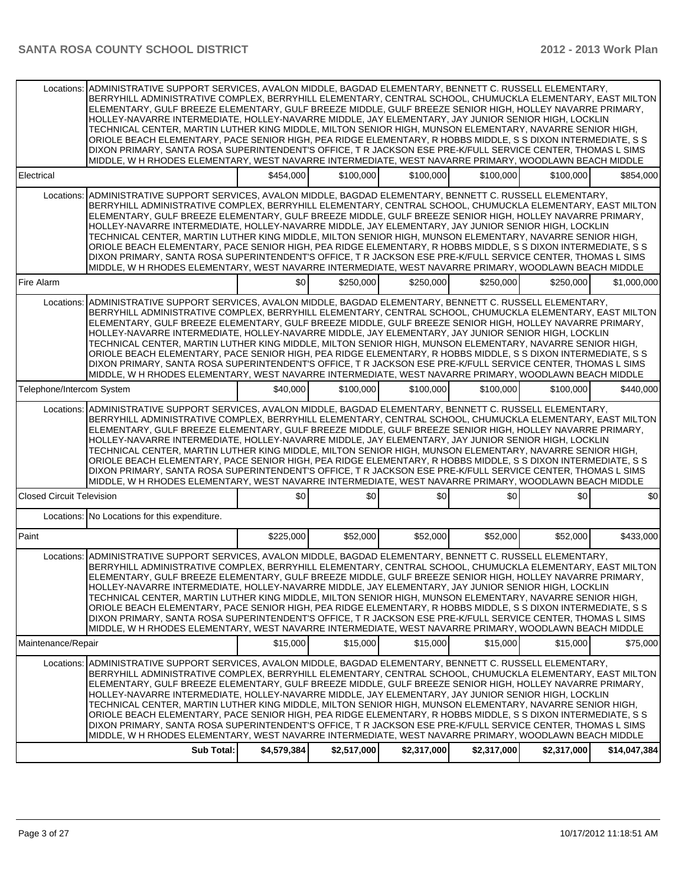| Locations:                       | ADMINISTRATIVE SUPPORT SERVICES, AVALON MIDDLE, BAGDAD ELEMENTARY, BENNETT C. RUSSELL ELEMENTARY,<br>BERRYHILL ADMINISTRATIVE COMPLEX, BERRYHILL ELEMENTARY, CENTRAL SCHOOL, CHUMUCKLA ELEMENTARY, EAST MILTON<br>ELEMENTARY, GULF BREEZE ELEMENTARY, GULF BREEZE MIDDLE, GULF BREEZE SENIOR HIGH, HOLLEY NAVARRE PRIMARY.<br>HOLLEY-NAVARRE INTERMEDIATE, HOLLEY-NAVARRE MIDDLE, JAY ELEMENTARY, JAY JUNIOR SENIOR HIGH, LOCKLIN<br>TECHNICAL CENTER, MARTIN LUTHER KING MIDDLE, MILTON SENIOR HIGH, MUNSON ELEMENTARY, NAVARRE SENIOR HIGH,<br>ORIOLE BEACH ELEMENTARY, PACE SENIOR HIGH, PEA RIDGE ELEMENTARY, R HOBBS MIDDLE, S S DIXON INTERMEDIATE, S S<br>DIXON PRIMARY, SANTA ROSA SUPERINTENDENT'S OFFICE, T R JACKSON ESE PRE-K/FULL SERVICE CENTER, THOMAS L SIMS<br>MIDDLE, W H RHODES ELEMENTARY, WEST NAVARRE INTERMEDIATE, WEST NAVARRE PRIMARY, WOODLAWN BEACH MIDDLE            |             |             |             |             |             |              |
|----------------------------------|--------------------------------------------------------------------------------------------------------------------------------------------------------------------------------------------------------------------------------------------------------------------------------------------------------------------------------------------------------------------------------------------------------------------------------------------------------------------------------------------------------------------------------------------------------------------------------------------------------------------------------------------------------------------------------------------------------------------------------------------------------------------------------------------------------------------------------------------------------------------------------------------------|-------------|-------------|-------------|-------------|-------------|--------------|
| Electrical                       |                                                                                                                                                                                                                                                                                                                                                                                                                                                                                                                                                                                                                                                                                                                                                                                                                                                                                                  | \$454,000   | \$100,000   | \$100,000   | \$100,000   | \$100,000   | \$854,000    |
| Locations:                       | ADMINISTRATIVE SUPPORT SERVICES, AVALON MIDDLE, BAGDAD ELEMENTARY, BENNETT C. RUSSELL ELEMENTARY,<br>BERRYHILL ADMINISTRATIVE COMPLEX, BERRYHILL ELEMENTARY, CENTRAL SCHOOL, CHUMUCKLA ELEMENTARY, EAST MILTON<br>ELEMENTARY, GULF BREEZE ELEMENTARY, GULF BREEZE MIDDLE, GULF BREEZE SENIOR HIGH, HOLLEY NAVARRE PRIMARY,<br>HOLLEY-NAVARRE INTERMEDIATE, HOLLEY-NAVARRE MIDDLE, JAY ELEMENTARY, JAY JUNIOR SENIOR HIGH, LOCKLIN<br>TECHNICAL CENTER. MARTIN LUTHER KING MIDDLE. MILTON SENIOR HIGH. MUNSON ELEMENTARY. NAVARRE SENIOR HIGH.<br>ORIOLE BEACH ELEMENTARY, PACE SENIOR HIGH, PEA RIDGE ELEMENTARY, R HOBBS MIDDLE, S S DIXON INTERMEDIATE, S S<br>DIXON PRIMARY, SANTA ROSA SUPERINTENDENT'S OFFICE, T R JACKSON ESE PRE-K/FULL SERVICE CENTER, THOMAS L SIMS<br>MIDDLE, W H RHODES ELEMENTARY, WEST NAVARRE INTERMEDIATE, WEST NAVARRE PRIMARY, WOODLAWN BEACH MIDDLE            |             |             |             |             |             |              |
| Fire Alarm                       |                                                                                                                                                                                                                                                                                                                                                                                                                                                                                                                                                                                                                                                                                                                                                                                                                                                                                                  | \$0         | \$250,000   | \$250,000   | \$250,000   | \$250,000   | \$1,000,000  |
| Locations:                       | ADMINISTRATIVE SUPPORT SERVICES, AVALON MIDDLE, BAGDAD ELEMENTARY, BENNETT C. RUSSELL ELEMENTARY,<br>BERRYHILL ADMINISTRATIVE COMPLEX, BERRYHILL ELEMENTARY, CENTRAL SCHOOL, CHUMUCKLA ELEMENTARY, EAST MILTON<br>ELEMENTARY, GULF BREEZE ELEMENTARY, GULF BREEZE MIDDLE, GULF BREEZE SENIOR HIGH, HOLLEY NAVARRE PRIMARY,<br>HOLLEY-NAVARRE INTERMEDIATE, HOLLEY-NAVARRE MIDDLE, JAY ELEMENTARY, JAY JUNIOR SENIOR HIGH, LOCKLIN<br>TECHNICAL CENTER, MARTIN LUTHER KING MIDDLE, MILTON SENIOR HIGH, MUNSON ELEMENTARY, NAVARRE SENIOR HIGH,<br>ORIOLE BEACH ELEMENTARY, PACE SENIOR HIGH, PEA RIDGE ELEMENTARY, R HOBBS MIDDLE, S S DIXON INTERMEDIATE, S S<br>DIXON PRIMARY, SANTA ROSA SUPERINTENDENT'S OFFICE, T R JACKSON ESE PRE-K/FULL SERVICE CENTER, THOMAS L SIMS<br>MIDDLE, W H RHODES ELEMENTARY, WEST NAVARRE INTERMEDIATE, WEST NAVARRE PRIMARY, WOODLAWN BEACH MIDDLE            |             |             |             |             |             |              |
| Telephone/Intercom System        |                                                                                                                                                                                                                                                                                                                                                                                                                                                                                                                                                                                                                                                                                                                                                                                                                                                                                                  | \$40,000    | \$100,000   | \$100,000   | \$100,000   | \$100,000   | \$440,000    |
|                                  | Locations: ADMINISTRATIVE SUPPORT SERVICES, AVALON MIDDLE, BAGDAD ELEMENTARY, BENNETT C. RUSSELL ELEMENTARY,<br>BERRYHILL ADMINISTRATIVE COMPLEX, BERRYHILL ELEMENTARY, CENTRAL SCHOOL, CHUMUCKLA ELEMENTARY, EAST MILTON<br>ELEMENTARY, GULF BREEZE ELEMENTARY, GULF BREEZE MIDDLE, GULF BREEZE SENIOR HIGH, HOLLEY NAVARRE PRIMARY,<br>HOLLEY-NAVARRE INTERMEDIATE, HOLLEY-NAVARRE MIDDLE, JAY ELEMENTARY, JAY JUNIOR SENIOR HIGH, LOCKLIN<br>TECHNICAL CENTER, MARTIN LUTHER KING MIDDLE, MILTON SENIOR HIGH, MUNSON ELEMENTARY, NAVARRE SENIOR HIGH,<br>ORIOLE BEACH ELEMENTARY, PACE SENIOR HIGH, PEA RIDGE ELEMENTARY, R HOBBS MIDDLE, S S DIXON INTERMEDIATE, S S<br>DIXON PRIMARY, SANTA ROSA SUPERINTENDENT'S OFFICE, T R JACKSON ESE PRE-K/FULL SERVICE CENTER, THOMAS L SIMS<br>MIDDLE, W H RHODES ELEMENTARY, WEST NAVARRE INTERMEDIATE, WEST NAVARRE PRIMARY, WOODLAWN BEACH MIDDLE |             |             |             |             |             |              |
| <b>Closed Circuit Television</b> |                                                                                                                                                                                                                                                                                                                                                                                                                                                                                                                                                                                                                                                                                                                                                                                                                                                                                                  | \$0         | \$0         | \$0         | \$0         | \$0         | \$0          |
|                                  | Locations: No Locations for this expenditure.                                                                                                                                                                                                                                                                                                                                                                                                                                                                                                                                                                                                                                                                                                                                                                                                                                                    |             |             |             |             |             |              |
| Paint                            |                                                                                                                                                                                                                                                                                                                                                                                                                                                                                                                                                                                                                                                                                                                                                                                                                                                                                                  | \$225,000   | \$52,000    | \$52,000    | \$52,000    | \$52,000    | \$433,000    |
|                                  | Locations: ADMINISTRATIVE SUPPORT SERVICES, AVALON MIDDLE, BAGDAD ELEMENTARY, BENNETT C. RUSSELL ELEMENTARY,<br>BERRYHILL ADMINISTRATIVE COMPLEX, BERRYHILL ELEMENTARY, CENTRAL SCHOOL, CHUMUCKLA ELEMENTARY, EAST MILTON<br>ELEMENTARY, GULF BREEZE ELEMENTARY, GULF BREEZE MIDDLE, GULF BREEZE SENIOR HIGH, HOLLEY NAVARRE PRIMARY,<br>HOLLEY-NAVARRE INTERMEDIATE, HOLLEY-NAVARRE MIDDLE, JAY ELEMENTARY, JAY JUNIOR SENIOR HIGH, LOCKLIN<br>TECHNICAL CENTER, MARTIN LUTHER KING MIDDLE, MILTON SENIOR HIGH, MUNSON ELEMENTARY, NAVARRE SENIOR HIGH,<br>ORIOLE BEACH ELEMENTARY, PACE SENIOR HIGH, PEA RIDGE ELEMENTARY, R HOBBS MIDDLE, S S DIXON INTERMEDIATE, S S<br>DIXON PRIMARY, SANTA ROSA SUPERINTENDENT'S OFFICE, T R JACKSON ESE PRE-K/FULL SERVICE CENTER, THOMAS L SIMS<br>MIDDLE, W H RHODES ELEMENTARY, WEST NAVARRE INTERMEDIATE, WEST NAVARRE PRIMARY, WOODLAWN BEACH MIDDLE |             |             |             |             |             |              |
| Maintenance/Repair               |                                                                                                                                                                                                                                                                                                                                                                                                                                                                                                                                                                                                                                                                                                                                                                                                                                                                                                  | \$15,000    | \$15,000    | \$15,000    | \$15,000    | \$15,000    | \$75,000     |
| Locations:                       | ADMINISTRATIVE SUPPORT SERVICES, AVALON MIDDLE, BAGDAD ELEMENTARY, BENNETT C. RUSSELL ELEMENTARY,<br>BERRYHILL ADMINISTRATIVE COMPLEX, BERRYHILL ELEMENTARY, CENTRAL SCHOOL, CHUMUCKLA ELEMENTARY, EAST MILTON<br>ELEMENTARY, GULF BREEZE ELEMENTARY, GULF BREEZE MIDDLE, GULF BREEZE SENIOR HIGH, HOLLEY NAVARRE PRIMARY,<br>HOLLEY-NAVARRE INTERMEDIATE, HOLLEY-NAVARRE MIDDLE, JAY ELEMENTARY, JAY JUNIOR SENIOR HIGH, LOCKLIN<br>TECHNICAL CENTER, MARTIN LUTHER KING MIDDLE, MILTON SENIOR HIGH, MUNSON ELEMENTARY, NAVARRE SENIOR HIGH,<br>ORIOLE BEACH ELEMENTARY, PACE SENIOR HIGH, PEA RIDGE ELEMENTARY, R HOBBS MIDDLE, S S DIXON INTERMEDIATE, S S<br>DIXON PRIMARY, SANTA ROSA SUPERINTENDENT'S OFFICE, T R JACKSON ESE PRE-K/FULL SERVICE CENTER, THOMAS L SIMS<br>MIDDLE, W H RHODES ELEMENTARY, WEST NAVARRE INTERMEDIATE, WEST NAVARRE PRIMARY, WOODLAWN BEACH MIDDLE            |             |             |             |             |             |              |
|                                  | Sub Total:                                                                                                                                                                                                                                                                                                                                                                                                                                                                                                                                                                                                                                                                                                                                                                                                                                                                                       | \$4,579,384 | \$2,517,000 | \$2,317,000 | \$2,317,000 | \$2,317,000 | \$14,047,384 |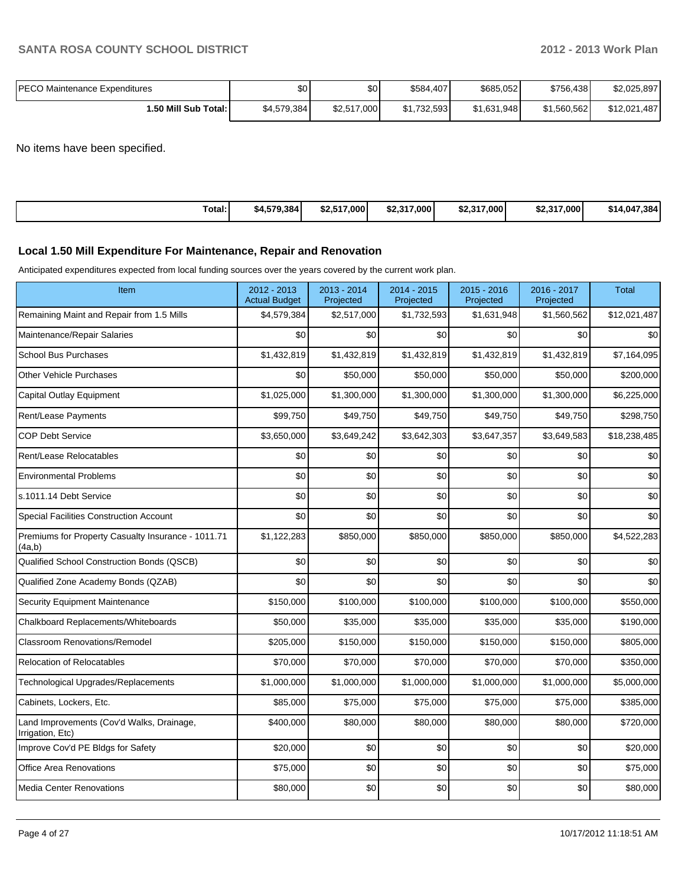| <b>IPECO Maintenance Expenditures</b> | \$0         | \$0         | \$584,407   | \$685,052   | \$756,438   | \$2,025,897  |
|---------------------------------------|-------------|-------------|-------------|-------------|-------------|--------------|
| 1.50 Mill Sub Total: I                | \$4,579,384 | \$2,517,000 | \$1,732,593 | \$1,631,948 | \$1.560.562 | \$12,021,487 |

No items have been specified.

| Total: | \$4,579,384 | \$2,517,000 | \$2,317,000 | \$2.317.000 | \$2,317,000 | \$14,047<br>ا 384. |
|--------|-------------|-------------|-------------|-------------|-------------|--------------------|
|--------|-------------|-------------|-------------|-------------|-------------|--------------------|

#### **Local 1.50 Mill Expenditure For Maintenance, Repair and Renovation**

Anticipated expenditures expected from local funding sources over the years covered by the current work plan.

| Item                                                          | 2012 - 2013<br><b>Actual Budget</b> | 2013 - 2014<br>Projected | $2014 - 2015$<br>Projected | 2015 - 2016<br>Projected | 2016 - 2017<br>Projected | <b>Total</b>     |
|---------------------------------------------------------------|-------------------------------------|--------------------------|----------------------------|--------------------------|--------------------------|------------------|
| Remaining Maint and Repair from 1.5 Mills                     | \$4,579,384                         | \$2,517,000              | \$1,732,593                | \$1,631,948              | \$1,560,562              | \$12,021,487     |
| Maintenance/Repair Salaries                                   | \$0                                 | \$0                      | \$0                        | \$0                      | \$0                      | \$0 <sub>1</sub> |
| <b>School Bus Purchases</b>                                   | \$1,432,819                         | \$1,432,819              | \$1,432,819                | \$1,432,819              | \$1,432,819              | \$7,164,095      |
| Other Vehicle Purchases                                       | \$0                                 | \$50,000                 | \$50,000                   | \$50,000                 | \$50,000                 | \$200,000        |
| Capital Outlay Equipment                                      | \$1,025,000                         | \$1,300,000              | \$1,300,000                | \$1,300,000              | \$1,300,000              | \$6,225,000      |
| Rent/Lease Payments                                           | \$99,750                            | \$49,750                 | \$49,750                   | \$49,750                 | \$49,750                 | \$298,750        |
| <b>COP Debt Service</b>                                       | \$3,650,000                         | \$3,649,242              | \$3,642,303                | \$3,647,357              | \$3,649,583              | \$18,238,485     |
| Rent/Lease Relocatables                                       | \$0                                 | \$0                      | \$0                        | \$0                      | \$0                      | \$0              |
| <b>Environmental Problems</b>                                 | \$0                                 | \$0                      | \$0                        | \$0                      | \$0                      | \$0              |
| s.1011.14 Debt Service                                        | \$0                                 | \$0                      | \$0                        | \$0                      | \$0                      | \$0              |
| <b>Special Facilities Construction Account</b>                | \$0                                 | \$0                      | \$0                        | \$0                      | \$0                      | \$0              |
| Premiums for Property Casualty Insurance - 1011.71<br>(4a,b)  | \$1,122,283                         | \$850,000                | \$850,000                  | \$850,000                | \$850,000                | \$4,522,283      |
| Qualified School Construction Bonds (QSCB)                    | \$0                                 | \$0                      | \$0                        | \$0                      | \$0                      | \$0              |
| Qualified Zone Academy Bonds (QZAB)                           | \$0                                 | \$0                      | \$0                        | \$0                      | \$0                      | \$0              |
| Security Equipment Maintenance                                | \$150,000                           | \$100,000                | \$100,000                  | \$100,000                | \$100,000                | \$550,000        |
| Chalkboard Replacements/Whiteboards                           | \$50,000                            | \$35,000                 | \$35,000                   | \$35,000                 | \$35,000                 | \$190,000        |
| <b>Classroom Renovations/Remodel</b>                          | \$205,000                           | \$150,000                | \$150,000                  | \$150,000                | \$150,000                | \$805,000        |
| <b>Relocation of Relocatables</b>                             | \$70,000                            | \$70,000                 | \$70,000                   | \$70,000                 | \$70,000                 | \$350,000        |
| Technological Upgrades/Replacements                           | \$1,000,000                         | \$1,000,000              | \$1,000,000                | \$1,000,000              | \$1,000,000              | \$5,000,000      |
| Cabinets, Lockers, Etc.                                       | \$85,000                            | \$75,000                 | \$75,000                   | \$75,000                 | \$75,000                 | \$385,000        |
| Land Improvements (Cov'd Walks, Drainage,<br>Irrigation, Etc) | \$400,000                           | \$80,000                 | \$80,000                   | \$80,000                 | \$80,000                 | \$720,000        |
| Improve Cov'd PE Bldgs for Safety                             | \$20,000                            | \$0                      | \$0                        | \$0                      | \$0                      | \$20,000         |
| Office Area Renovations                                       | \$75,000                            | \$0                      | \$0                        | \$0                      | \$0                      | \$75,000         |
| <b>Media Center Renovations</b>                               | \$80,000                            | \$0                      | \$0                        | \$0                      | \$0                      | \$80,000         |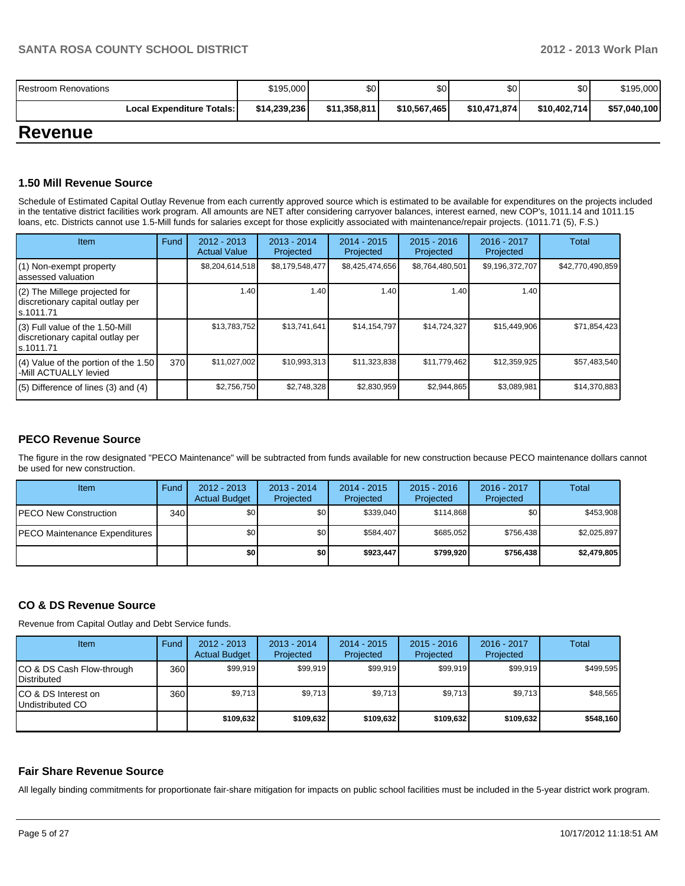| Restroom Renovations             | \$195,000    | \$٥١         | \$0          | \$0          | \$0          | \$195,000    |
|----------------------------------|--------------|--------------|--------------|--------------|--------------|--------------|
| <b>Local Expenditure Totals:</b> | \$14,239,236 | \$11,358,811 | \$10,567,465 | \$10,471,874 | \$10,402,714 | \$57,040,100 |

## **Revenue**

#### **1.50 Mill Revenue Source**

Schedule of Estimated Capital Outlay Revenue from each currently approved source which is estimated to be available for expenditures on the projects included in the tentative district facilities work program. All amounts are NET after considering carryover balances, interest earned, new COP's, 1011.14 and 1011.15 loans, etc. Districts cannot use 1.5-Mill funds for salaries except for those explicitly associated with maintenance/repair projects. (1011.71 (5), F.S.)

| Item                                                                                | Fund | $2012 - 2013$<br><b>Actual Value</b> | $2013 - 2014$<br>Projected | $2014 - 2015$<br>Projected | $2015 - 2016$<br>Projected | 2016 - 2017<br>Projected | Total            |
|-------------------------------------------------------------------------------------|------|--------------------------------------|----------------------------|----------------------------|----------------------------|--------------------------|------------------|
| (1) Non-exempt property<br>lassessed valuation                                      |      | \$8,204,614,518                      | \$8,179,548,477            | \$8,425,474,656            | \$8,764,480,501            | \$9,196,372,707          | \$42,770,490,859 |
| $(2)$ The Millege projected for<br>discretionary capital outlay per<br>ls.1011.71   |      | 1.40                                 | 1.40                       | 1.40                       | 1.40                       | 1.40                     |                  |
| $(3)$ Full value of the 1.50-Mill<br>discretionary capital outlay per<br>ls.1011.71 |      | \$13,783,752                         | \$13,741,641               | \$14,154,797               | \$14,724,327               | \$15,449,906             | \$71,854,423     |
| $(4)$ Value of the portion of the 1.50<br>-Mill ACTUALLY levied                     | 370  | \$11,027,002                         | \$10,993,313               | \$11,323,838               | \$11,779,462               | \$12,359,925             | \$57,483,540     |
| $(5)$ Difference of lines $(3)$ and $(4)$                                           |      | \$2,756,750                          | \$2,748,328                | \$2,830,959                | \$2,944,865                | \$3,089,981              | \$14,370,883     |

## **PECO Revenue Source**

The figure in the row designated "PECO Maintenance" will be subtracted from funds available for new construction because PECO maintenance dollars cannot be used for new construction.

| Item                          | Fund | $2012 - 2013$<br><b>Actual Budget</b> | $2013 - 2014$<br>Projected | 2014 - 2015<br>Projected | $2015 - 2016$<br>Projected | $2016 - 2017$<br>Projected | Total       |
|-------------------------------|------|---------------------------------------|----------------------------|--------------------------|----------------------------|----------------------------|-------------|
| <b>IPECO New Construction</b> | 340  | \$0                                   | \$0                        | \$339.040                | \$114.868                  | \$0 <sub>l</sub>           | \$453.908   |
| PECO Maintenance Expenditures |      | \$0                                   | \$0 I                      | \$584.407                | \$685.052                  | \$756.438                  | \$2,025,897 |
|                               |      | \$0                                   | \$0 I                      | \$923,447                | \$799.920                  | \$756,438                  | \$2,479,805 |

#### **CO & DS Revenue Source**

Revenue from Capital Outlay and Debt Service funds.

| Item                                               | Fund | $2012 - 2013$<br><b>Actual Budget</b> | $2013 - 2014$<br>Projected | 2014 - 2015<br>Projected | $2015 - 2016$<br>Projected | $2016 - 2017$<br>Projected | Total     |
|----------------------------------------------------|------|---------------------------------------|----------------------------|--------------------------|----------------------------|----------------------------|-----------|
| ICO & DS Cash Flow-through<br><b>I</b> Distributed | 360  | \$99,919                              | \$99,919                   | \$99,919                 | \$99,919                   | \$99,919                   | \$499.595 |
| ICO & DS Interest on<br>Undistributed CO           | 360  | \$9,713                               | \$9,713                    | \$9.713                  | \$9,713                    | \$9,713                    | \$48,565  |
|                                                    |      | \$109,632                             | \$109,632                  | \$109.632                | \$109.632                  | \$109,632                  | \$548.160 |

#### **Fair Share Revenue Source**

All legally binding commitments for proportionate fair-share mitigation for impacts on public school facilities must be included in the 5-year district work program.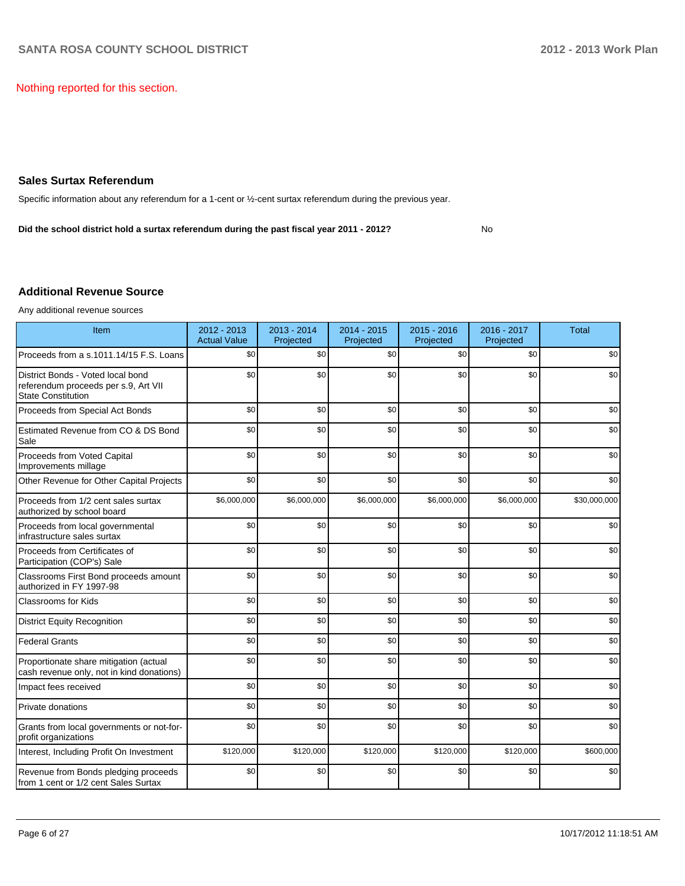Nothing reported for this section.

### **Sales Surtax Referendum**

Specific information about any referendum for a 1-cent or ½-cent surtax referendum during the previous year.

**Did the school district hold a surtax referendum during the past fiscal year 2011 - 2012?**

#### No

#### **Additional Revenue Source**

Any additional revenue sources

| Item                                                                                                   | 2012 - 2013<br><b>Actual Value</b> | 2013 - 2014<br>Projected | $2014 - 2015$<br>Projected | $2015 - 2016$<br>Projected | 2016 - 2017<br>Projected | <b>Total</b> |
|--------------------------------------------------------------------------------------------------------|------------------------------------|--------------------------|----------------------------|----------------------------|--------------------------|--------------|
| Proceeds from a s.1011.14/15 F.S. Loans                                                                | \$0                                | \$0                      | \$0                        | \$0                        | \$0                      | \$0          |
| District Bonds - Voted local bond<br>referendum proceeds per s.9, Art VII<br><b>State Constitution</b> | \$0                                | \$0                      | \$0                        | \$0                        | \$0                      | \$0          |
| Proceeds from Special Act Bonds                                                                        | \$0                                | \$0                      | \$0                        | \$0                        | \$0                      | \$0          |
| Estimated Revenue from CO & DS Bond<br>Sale                                                            | \$0                                | \$0                      | \$0                        | \$0                        | \$0                      | \$0          |
| Proceeds from Voted Capital<br>Improvements millage                                                    | \$0                                | \$0                      | \$0                        | \$0                        | \$0                      | \$0          |
| Other Revenue for Other Capital Projects                                                               | \$0                                | \$0                      | \$0                        | \$0                        | \$0                      | \$0          |
| Proceeds from 1/2 cent sales surtax<br>authorized by school board                                      | \$6,000,000                        | \$6,000,000              | \$6,000,000                | \$6,000,000                | \$6,000,000              | \$30,000,000 |
| Proceeds from local governmental<br>infrastructure sales surtax                                        | \$0                                | \$0                      | \$0                        | \$0                        | \$0                      | \$0          |
| Proceeds from Certificates of<br>Participation (COP's) Sale                                            | \$0                                | \$0                      | \$0                        | \$0                        | \$0                      | \$0          |
| Classrooms First Bond proceeds amount<br>authorized in FY 1997-98                                      | \$0                                | \$0                      | \$0                        | \$0                        | \$0                      | \$0          |
| <b>Classrooms for Kids</b>                                                                             | \$0                                | \$0                      | \$0                        | \$0                        | \$0                      | \$0          |
| <b>District Equity Recognition</b>                                                                     | \$0                                | \$0                      | \$0                        | \$0                        | \$0                      | \$0          |
| <b>Federal Grants</b>                                                                                  | \$0                                | \$0                      | \$0                        | \$0                        | \$0                      | \$0          |
| Proportionate share mitigation (actual<br>cash revenue only, not in kind donations)                    | \$0                                | \$0                      | \$0                        | \$0                        | \$0                      | \$0          |
| Impact fees received                                                                                   | \$0                                | \$0                      | \$0                        | \$0                        | \$0                      | \$0          |
| Private donations                                                                                      | \$0                                | \$0                      | \$0                        | \$0                        | \$0                      | \$0          |
| Grants from local governments or not-for-<br>profit organizations                                      | \$0                                | \$0                      | \$0                        | \$0                        | \$0                      | \$0          |
| Interest, Including Profit On Investment                                                               | \$120,000                          | \$120,000                | \$120,000                  | \$120,000                  | \$120,000                | \$600,000    |
| Revenue from Bonds pledging proceeds<br>from 1 cent or 1/2 cent Sales Surtax                           | \$0                                | \$0                      | \$0                        | \$0                        | \$0                      | \$0          |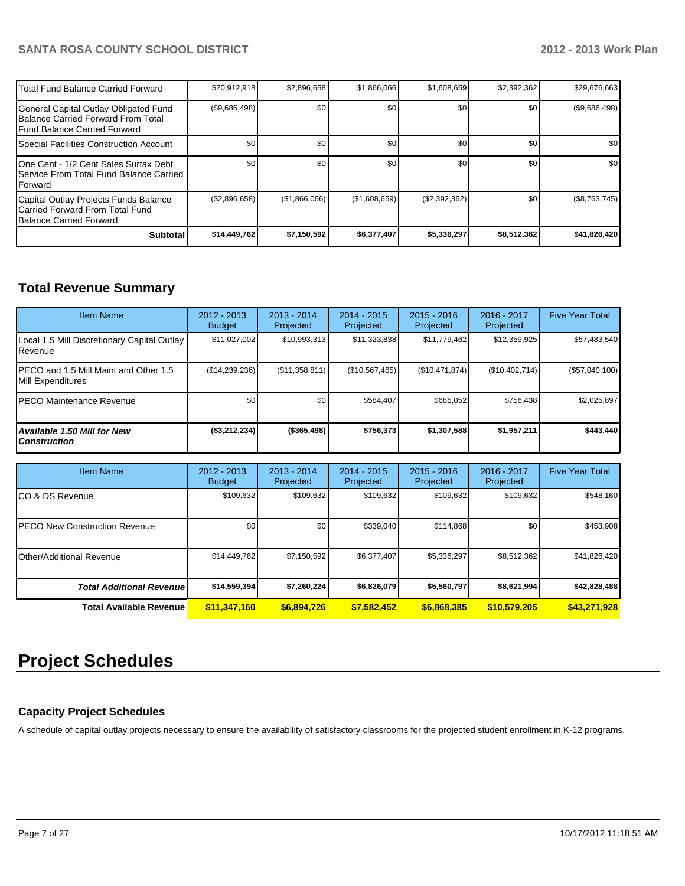| <b>ITotal Fund Balance Carried Forward</b>                                                                                  | \$20,912,918  | \$2,896,658   | \$1,866,066   | \$1,608,659    | \$2,392,362      | \$29,676,663     |
|-----------------------------------------------------------------------------------------------------------------------------|---------------|---------------|---------------|----------------|------------------|------------------|
| General Capital Outlay Obligated Fund<br><b>IBalance Carried Forward From Total</b><br><b>IFund Balance Carried Forward</b> | (\$9,686,498) | \$0           | \$0           | \$0            | \$0 <sub>1</sub> | (\$9,686,498)    |
| Special Facilities Construction Account                                                                                     | \$0           | \$0           | \$0           | \$0            | \$0 <sub>1</sub> | \$0 <sub>1</sub> |
| 10ne Cent - 1/2 Cent Sales Surtax Debt<br>I Service From Total Fund Balance Carried<br><b>IForward</b>                      | \$0           | \$0           | \$0           | \$0            | \$0              | \$0 <sub>1</sub> |
| Capital Outlay Projects Funds Balance<br>Carried Forward From Total Fund<br><b>IBalance Carried Forward</b>                 | (S2,896,658)  | (\$1,866,066) | (\$1,608,659) | (S2, 392, 362) | \$0 <sub>1</sub> | (\$8,763,745)    |
| <b>Subtotal</b>                                                                                                             | \$14,449,762  | \$7,150,592   | \$6,377,407   | \$5,336,297    | \$8,512,362      | \$41,826,420     |

## **Total Revenue Summary**

| <b>Item Name</b>                                            | 2012 - 2013<br><b>Budget</b> | 2013 - 2014<br>Projected | $2014 - 2015$<br>Projected | $2015 - 2016$<br>Projected | 2016 - 2017<br>Projected | <b>Five Year Total</b> |
|-------------------------------------------------------------|------------------------------|--------------------------|----------------------------|----------------------------|--------------------------|------------------------|
| Local 1.5 Mill Discretionary Capital Outlay<br>Revenue      | \$11,027,002                 | \$10,993,313             | \$11,323,838               | \$11,779,462               | \$12,359,925             | \$57,483,540           |
| IPECO and 1.5 Mill Maint and Other 1.5<br>Mill Expenditures | (\$14,239,236)               | (S11, 358, 811)          | (\$10,567,465)             | (\$10,471,874)             | (\$10,402,714)           | (\$57,040,100)         |
| <b>IPECO Maintenance Revenue</b>                            | \$0                          | \$0                      | \$584.407                  | \$685.052                  | \$756.438                | \$2,025,897            |
| <b>Available 1.50 Mill for New</b><br><b>Construction</b>   | (\$3,212,234)                | $($ \$365,498) $ $       | \$756.373                  | \$1,307,588                | \$1,957,211              | \$443,440              |

| Item Name                             | 2012 - 2013<br><b>Budget</b> | $2013 - 2014$<br>Projected | $2014 - 2015$<br>Projected | $2015 - 2016$<br>Projected | $2016 - 2017$<br>Projected | <b>Five Year Total</b> |
|---------------------------------------|------------------------------|----------------------------|----------------------------|----------------------------|----------------------------|------------------------|
| ICO & DS Revenue                      | \$109,632                    | \$109,632                  | \$109,632                  | \$109,632                  | \$109,632                  | \$548,160              |
| <b>IPECO New Construction Revenue</b> | \$0                          | \$0                        | \$339,040                  | \$114,868                  | \$0                        | \$453,908              |
| Other/Additional Revenue              | \$14,449,762                 | \$7,150,592                | \$6,377,407                | \$5,336,297                | \$8,512,362                | \$41,826,420           |
| <b>Total Additional Revenue</b>       | \$14,559,394                 | \$7,260,224                | \$6,826,079                | \$5,560,797                | \$8,621,994                | \$42,828,488           |
| <b>Total Available Revenue</b>        | \$11,347,160                 | \$6,894,726                | \$7,582,452                | \$6,868,385                | \$10,579,205               | \$43,271,928           |

# **Project Schedules**

## **Capacity Project Schedules**

A schedule of capital outlay projects necessary to ensure the availability of satisfactory classrooms for the projected student enrollment in K-12 programs.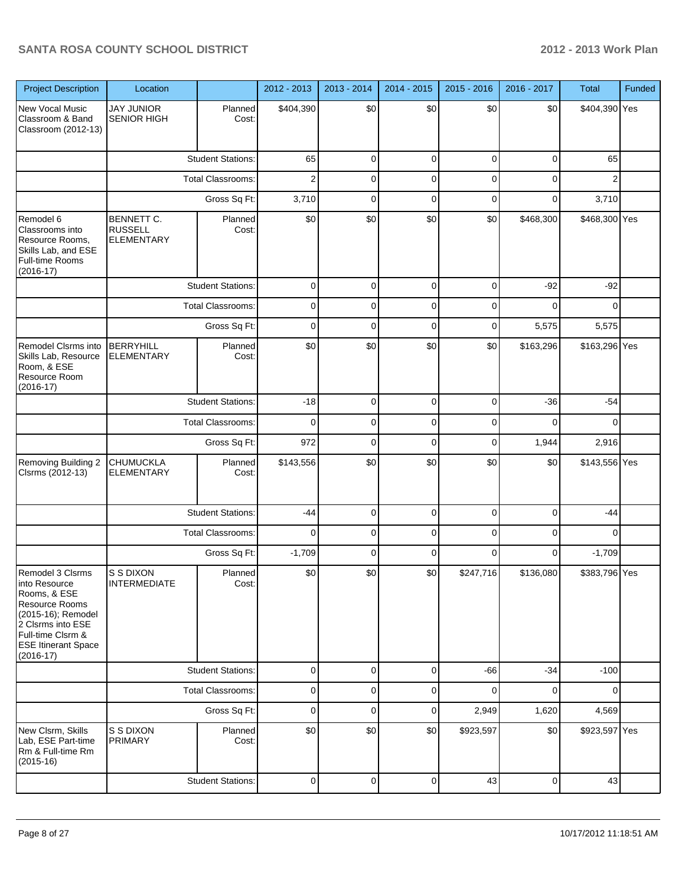| <b>Project Description</b>                                                                                                                                                       | Location                                                 |                          | 2012 - 2013    | 2013 - 2014    | 2014 - 2015 | 2015 - 2016 | 2016 - 2017 | Total          | Funded |
|----------------------------------------------------------------------------------------------------------------------------------------------------------------------------------|----------------------------------------------------------|--------------------------|----------------|----------------|-------------|-------------|-------------|----------------|--------|
| New Vocal Music<br>Classroom & Band<br>Classroom (2012-13)                                                                                                                       | <b>JAY JUNIOR</b><br><b>SENIOR HIGH</b>                  | Planned<br>Cost:         | \$404,390      | \$0            | \$0         | \$0         | \$0         | \$404,390 Yes  |        |
|                                                                                                                                                                                  |                                                          | <b>Student Stations:</b> | 65             | 0              | $\mathbf 0$ | $\mathbf 0$ | 0           | 65             |        |
|                                                                                                                                                                                  |                                                          | Total Classrooms:        | $\overline{2}$ | 0              | 0           | 0           | 0           | $\overline{2}$ |        |
|                                                                                                                                                                                  |                                                          | Gross Sq Ft:             | 3,710          | 0              | $\mathbf 0$ | 0           | 0           | 3,710          |        |
| Remodel 6<br>Classrooms into<br>Resource Rooms,<br>Skills Lab, and ESE<br>Full-time Rooms<br>$(2016 - 17)$                                                                       | <b>BENNETT C.</b><br><b>RUSSELL</b><br><b>ELEMENTARY</b> | Planned<br>Cost:         | \$0            | \$0            | \$0         | \$0         | \$468,300   | \$468,300 Yes  |        |
|                                                                                                                                                                                  |                                                          | <b>Student Stations:</b> | $\mathbf 0$    | 0              | $\mathbf 0$ | $\mathbf 0$ | $-92$       | $-92$          |        |
|                                                                                                                                                                                  |                                                          | <b>Total Classrooms:</b> | 0              | 0              | 0           | 0           | $\Omega$    | $\Omega$       |        |
|                                                                                                                                                                                  |                                                          | Gross Sq Ft:             | $\mathbf 0$    | 0              | $\mathbf 0$ | 0           | 5,575       | 5,575          |        |
| Remodel Clsrms into<br>Skills Lab, Resource<br>Room, & ESE<br>Resource Room<br>$(2016-17)$                                                                                       | <b>BERRYHILL</b><br><b>ELEMENTARY</b>                    | Planned<br>Cost:         | \$0            | \$0            | \$0         | \$0         | \$163,296   | \$163,296 Yes  |        |
|                                                                                                                                                                                  |                                                          | <b>Student Stations:</b> | $-18$          | 0              | $\mathbf 0$ | 0           | $-36$       | $-54$          |        |
|                                                                                                                                                                                  |                                                          | <b>Total Classrooms:</b> | $\mathbf 0$    | 0              | 0           | 0           | 0           | 0              |        |
|                                                                                                                                                                                  |                                                          | Gross Sq Ft:             | 972            | 0              | 0           | 0           | 1,944       | 2,916          |        |
| Removing Building 2<br>Clsrms (2012-13)                                                                                                                                          | <b>CHUMUCKLA</b><br><b>ELEMENTARY</b>                    | Planned<br>Cost:         | \$143,556      | \$0            | \$0         | \$0         | \$0         | \$143,556 Yes  |        |
|                                                                                                                                                                                  |                                                          | <b>Student Stations:</b> | $-44$          | 0              | 0           | 0           | 0           | $-44$          |        |
|                                                                                                                                                                                  |                                                          | Total Classrooms:        | $\mathbf 0$    | 0              | 0           | 0           | 0           | $\Omega$       |        |
|                                                                                                                                                                                  |                                                          | Gross Sq Ft:             | $-1,709$       | 0              | 0           | $\Omega$    | 0           | $-1,709$       |        |
| Remodel 3 Clsrms<br>Into Resource<br>Rooms, & ESE<br>Resource Rooms<br>(2015-16); Remodel<br>2 Clsrms into ESE<br>Full-time Clsrm &<br><b>ESE Itinerant Space</b><br>$(2016-17)$ | S S DIXON<br><b>INTERMEDIATE</b>                         | Planned<br>Cost:         | \$0            | \$0            | \$0         | \$247,716   | \$136,080   | \$383,796 Yes  |        |
|                                                                                                                                                                                  |                                                          | <b>Student Stations:</b> | 0              | $\overline{0}$ | $\mathbf 0$ | $-66$       | $-34$       | $-100$         |        |
|                                                                                                                                                                                  |                                                          | <b>Total Classrooms:</b> | 0              | 0              | 0           | 0           | 0           | $\Omega$       |        |
|                                                                                                                                                                                  |                                                          | Gross Sq Ft:             | 0              | $\mathbf 0$    | 0           | 2,949       | 1,620       | 4,569          |        |
| New Clsrm, Skills<br>Lab, ESE Part-time<br>Rm & Full-time Rm<br>$(2015-16)$                                                                                                      | S S DIXON<br><b>PRIMARY</b>                              | Planned<br>Cost:         | \$0            | \$0            | \$0         | \$923,597   | \$0         | \$923,597 Yes  |        |
|                                                                                                                                                                                  |                                                          | <b>Student Stations:</b> | 0              | $\overline{0}$ | $\mathbf 0$ | 43          | 0           | 43             |        |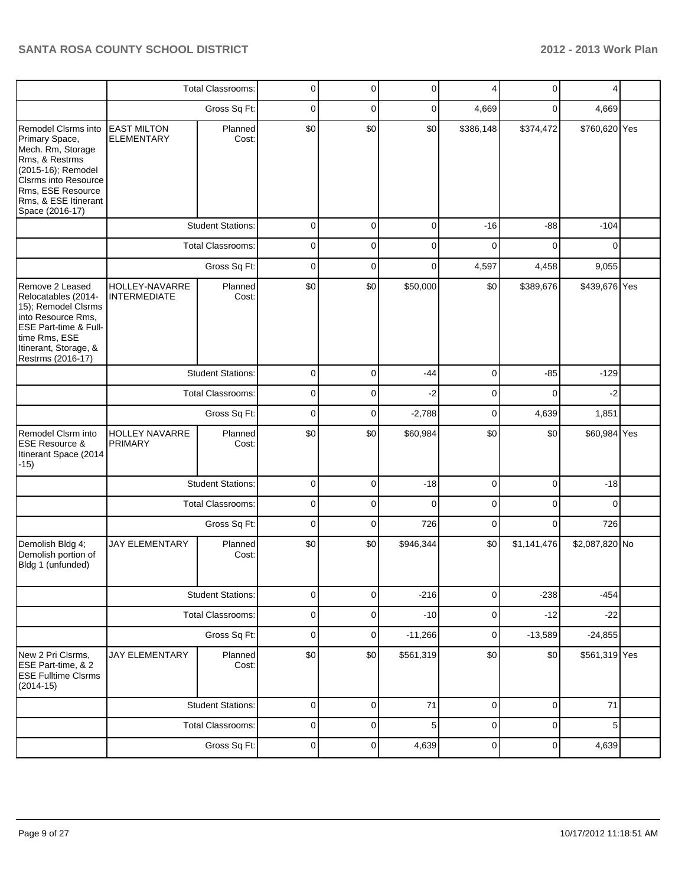|                                                                                                                                                                                                   |                                         | <b>Total Classrooms:</b> | $\mathbf 0$ | 0              | $\mathbf 0$ | 4           | 0           | 4                          |  |
|---------------------------------------------------------------------------------------------------------------------------------------------------------------------------------------------------|-----------------------------------------|--------------------------|-------------|----------------|-------------|-------------|-------------|----------------------------|--|
|                                                                                                                                                                                                   |                                         | Gross Sq Ft:             | $\mathbf 0$ | $\mathbf 0$    | $\mathbf 0$ | 4,669       | 0           | 4,669                      |  |
| Remodel Clsrms into<br>Primary Space,<br>Mech. Rm, Storage<br>Rms, & Restrms<br>(2015-16); Remodel<br><b>CIsrms into Resource</b><br>Rms, ESE Resource<br>Rms, & ESE Itinerant<br>Space (2016-17) | <b>EAST MILTON</b><br><b>ELEMENTARY</b> | Planned<br>Cost:         | \$0         | \$0            | \$0         | \$386,148   | \$374,472   | \$760,620 Yes              |  |
|                                                                                                                                                                                                   |                                         | <b>Student Stations:</b> | $\mathbf 0$ | $\mathbf 0$    | $\mathbf 0$ | $-16$       | $-88$       | $-104$                     |  |
|                                                                                                                                                                                                   |                                         | <b>Total Classrooms:</b> | $\mathbf 0$ | $\mathbf 0$    | $\Omega$    | $\Omega$    | $\Omega$    | $\Omega$                   |  |
|                                                                                                                                                                                                   |                                         | Gross Sq Ft:             | $\mathbf 0$ | $\mathbf 0$    | $\Omega$    | 4,597       | 4,458       | 9,055                      |  |
| Remove 2 Leased<br>Relocatables (2014-<br>15); Remodel Clsrms<br>into Resource Rms,<br>ESE Part-time & Full-<br>time Rms, ESE<br>Itinerant, Storage, &<br>Restrms (2016-17)                       | HOLLEY-NAVARRE<br><b>INTERMEDIATE</b>   | Planned<br>Cost:         | \$0         | \$0            | \$50,000    | \$0         | \$389,676   | \$439,676 Yes              |  |
|                                                                                                                                                                                                   |                                         | <b>Student Stations:</b> | 0           | $\mathbf 0$    | $-44$       | $\mathbf 0$ | $-85$       | $-129$<br>$-2$<br>$\Omega$ |  |
|                                                                                                                                                                                                   |                                         | <b>Total Classrooms:</b> | $\mathbf 0$ | 0              | $-2$        | 0           |             |                            |  |
|                                                                                                                                                                                                   | Gross Sq Ft:                            |                          | $\mathbf 0$ | $\mathbf 0$    | $-2,788$    | $\mathbf 0$ | 4,639       | 1,851                      |  |
| Remodel Clsrm into<br><b>ESE Resource &amp;</b><br>Itinerant Space (2014<br>$-15)$                                                                                                                | <b>HOLLEY NAVARRE</b><br><b>PRIMARY</b> | Planned<br>Cost:         | \$0         | \$0            | \$60,984    | \$0         | \$0         | \$60,984 Yes               |  |
|                                                                                                                                                                                                   |                                         | <b>Student Stations:</b> |             | $\mathbf 0$    | $-18$       | $\mathbf 0$ | $\mathbf 0$ | $-18$                      |  |
|                                                                                                                                                                                                   |                                         | <b>Total Classrooms:</b> | $\mathbf 0$ | 0              | $\Omega$    | 0           | 0           | $\Omega$                   |  |
|                                                                                                                                                                                                   |                                         | Gross Sq Ft:             | $\mathbf 0$ | $\mathbf 0$    | 726         | $\mathbf 0$ | 0           | 726                        |  |
| Demolish Bldg 4;<br>Demolish portion of<br>Bldg 1 (unfunded)                                                                                                                                      | <b>JAY ELEMENTARY</b>                   | Planned<br>Cost:         | \$0         | \$0            | \$946,344   | \$0         | \$1,141,476 | \$2,087,820 No             |  |
|                                                                                                                                                                                                   |                                         | <b>Student Stations:</b> | $\mathbf 0$ | $\mathbf 0$    | $-216$      | $\mathbf 0$ | $-238$      | $-454$                     |  |
|                                                                                                                                                                                                   |                                         | Total Classrooms:        | $\mathbf 0$ | $\mathbf 0$    | $-10$       | $\mathbf 0$ | $-12$       | $-22$                      |  |
|                                                                                                                                                                                                   |                                         | Gross Sq Ft:             | $\mathbf 0$ | $\mathbf 0$    | $-11,266$   | $\mathbf 0$ | $-13,589$   | $-24,855$                  |  |
| New 2 Pri Clsrms,<br>ESE Part-time, & 2<br><b>ESE Fulltime Clsrms</b><br>$(2014-15)$                                                                                                              | <b>JAY ELEMENTARY</b>                   | Planned<br>Cost:         | \$0         | \$0            | \$561,319   | \$0         | \$0         | \$561,319 Yes              |  |
|                                                                                                                                                                                                   |                                         | <b>Student Stations:</b> | $\mathbf 0$ | $\mathbf 0$    | 71          | $\mathbf 0$ | $\mathbf 0$ | 71                         |  |
|                                                                                                                                                                                                   |                                         | Total Classrooms:        | $\mathbf 0$ | $\mathbf 0$    | 5           | $\mathbf 0$ | $\mathbf 0$ | 5                          |  |
|                                                                                                                                                                                                   |                                         | Gross Sq Ft:             | $\pmb{0}$   | $\overline{0}$ | 4,639       | $\pmb{0}$   | $\pmb{0}$   | 4,639                      |  |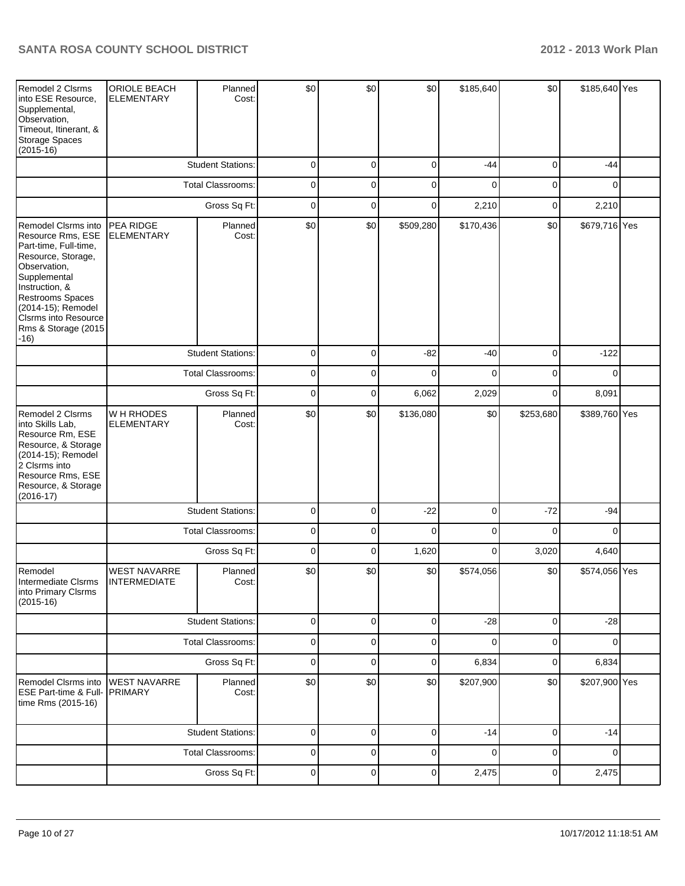| Remodel 2 Clsrms<br>into ESE Resource,<br>Supplemental,<br>Observation,<br>Timeout, Itinerant, &<br>Storage Spaces<br>$(2015-16)$                                                                                                                   | ORIOLE BEACH<br><b>ELEMENTARY</b>          | Planned<br>Cost:         | \$0         | \$0         | \$0         | \$185,640   | \$0         | \$185,640 Yes |  |
|-----------------------------------------------------------------------------------------------------------------------------------------------------------------------------------------------------------------------------------------------------|--------------------------------------------|--------------------------|-------------|-------------|-------------|-------------|-------------|---------------|--|
|                                                                                                                                                                                                                                                     |                                            | <b>Student Stations:</b> | 0           | 0           | $\mathbf 0$ | $-44$       | $\mathbf 0$ | $-44$         |  |
|                                                                                                                                                                                                                                                     | <b>Total Classrooms:</b>                   |                          | 0           | $\Omega$    | $\mathbf 0$ | $\Omega$    | $\mathbf 0$ | 0             |  |
|                                                                                                                                                                                                                                                     | Gross Sq Ft:                               |                          | 0           | 0           | $\mathbf 0$ | 2,210       | 0           | 2,210         |  |
| Remodel Clsrms into<br>Resource Rms, ESE<br>Part-time, Full-time,<br>Resource, Storage,<br>Observation,<br>Supplemental<br>Instruction, &<br>Restrooms Spaces<br>(2014-15); Remodel<br><b>Clsrms into Resource</b><br>Rms & Storage (2015<br>$-16)$ | PEA RIDGE<br><b>ELEMENTARY</b>             | Planned<br>Cost:         | \$0         | \$0         | \$509,280   | \$170,436   | \$0         | \$679,716 Yes |  |
|                                                                                                                                                                                                                                                     |                                            | <b>Student Stations:</b> | 0           | $\mathbf 0$ | $-82$       | $-40$       | 0           | $-122$        |  |
|                                                                                                                                                                                                                                                     |                                            | <b>Total Classrooms:</b> | 0           | $\Omega$    | $\Omega$    | $\Omega$    | 0           | $\Omega$      |  |
|                                                                                                                                                                                                                                                     |                                            | Gross Sq Ft:             | $\mathbf 0$ | $\mathbf 0$ | 6,062       | 2,029       | $\mathbf 0$ | 8,091         |  |
| Remodel 2 Clsrms<br>into Skills Lab,<br>Resource Rm, ESE<br>Resource, & Storage<br>(2014-15); Remodel<br>2 Clsrms into<br>Resource Rms, ESE<br>Resource, & Storage<br>$(2016-17)$                                                                   | W H RHODES<br><b>ELEMENTARY</b>            | Planned<br>Cost:         | \$0         | \$0         | \$136,080   | \$0         | \$253,680   | \$389,760 Yes |  |
|                                                                                                                                                                                                                                                     |                                            | <b>Student Stations:</b> | 0           | 0           | $-22$       | 0           | $-72$       | $-94$         |  |
|                                                                                                                                                                                                                                                     |                                            | <b>Total Classrooms:</b> | 0           | $\mathbf 0$ | $\Omega$    | 0           | $\Omega$    | $\Omega$      |  |
|                                                                                                                                                                                                                                                     |                                            | Gross Sq Ft:             | $\mathbf 0$ | 0           | 1,620       | 0           | 3,020       | 4,640         |  |
| Remodel<br>Intermediate Clsrms<br>into Primary Clsrms<br>$(2015-16)$                                                                                                                                                                                | <b>WEST NAVARRE</b><br><b>INTERMEDIATE</b> | Planned<br>Cost:         | \$0         | \$0         | \$0         | \$574,056   | \$0         | \$574,056 Yes |  |
|                                                                                                                                                                                                                                                     |                                            | <b>Student Stations:</b> | 0           | 0           | 0           | $-28$       | $\mathbf 0$ | $-28$         |  |
|                                                                                                                                                                                                                                                     |                                            | <b>Total Classrooms:</b> | 0           | 0           | 0           | 0           | 0           | 0             |  |
|                                                                                                                                                                                                                                                     |                                            | Gross Sq Ft:             | $\mathbf 0$ | $\mathbf 0$ | $\mathbf 0$ | 6,834       | $\mathbf 0$ | 6,834         |  |
| Remodel Clsrms into<br>ESE Part-time & Full-<br>time Rms (2015-16)                                                                                                                                                                                  | <b>WEST NAVARRE</b><br><b>PRIMARY</b>      | Planned<br>Cost:         | \$0         | \$0         | \$0         | \$207,900   | \$0         | \$207,900 Yes |  |
|                                                                                                                                                                                                                                                     |                                            | <b>Student Stations:</b> | 0           | 0           | $\mathbf 0$ | $-14$       | $\mathbf 0$ | $-14$         |  |
|                                                                                                                                                                                                                                                     |                                            | <b>Total Classrooms:</b> | 0           | 0           | 0           | $\mathbf 0$ | $\mathbf 0$ | 0             |  |
|                                                                                                                                                                                                                                                     |                                            | Gross Sq Ft:             | 0           | 0           | 0           | 2,475       | $\pmb{0}$   | 2,475         |  |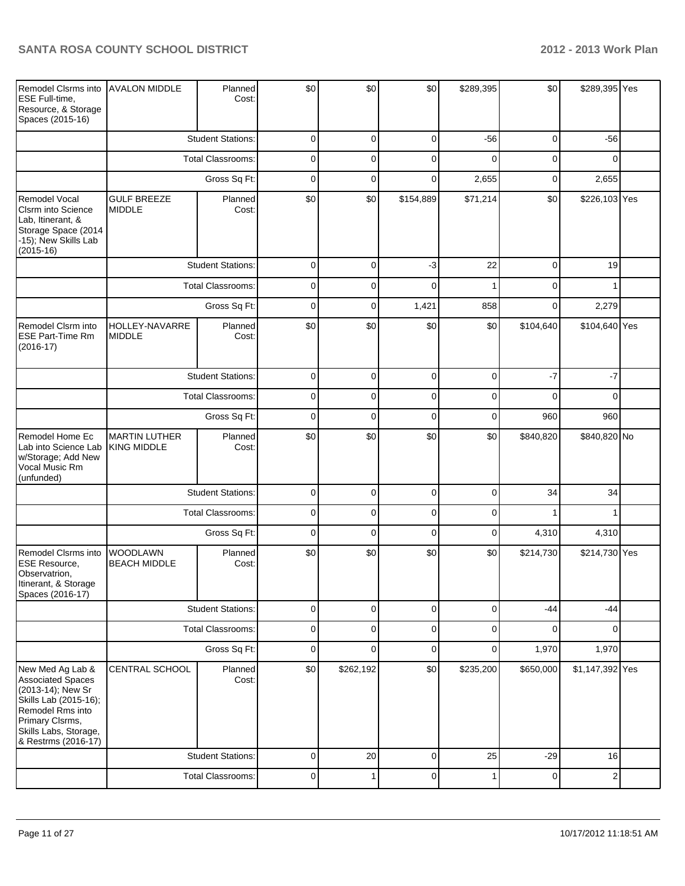| Remodel Clsrms into<br>ESE Full-time,<br>Resource, & Storage<br>Spaces (2015-16)                                                                                           | <b>AVALON MIDDLE</b>                       | Planned<br>Cost:         | \$0         | \$0         | \$0         | \$289,395   | \$0         | \$289,395 Yes          |  |  |
|----------------------------------------------------------------------------------------------------------------------------------------------------------------------------|--------------------------------------------|--------------------------|-------------|-------------|-------------|-------------|-------------|------------------------|--|--|
|                                                                                                                                                                            |                                            | <b>Student Stations:</b> | $\mathbf 0$ | $\mathbf 0$ | $\mathbf 0$ | $-56$       | $\mathbf 0$ | $-56$                  |  |  |
|                                                                                                                                                                            |                                            | Total Classrooms:        | $\mathbf 0$ | $\Omega$    | $\Omega$    | $\Omega$    | 0           | $\Omega$               |  |  |
|                                                                                                                                                                            |                                            | Gross Sq Ft:             | $\mathbf 0$ | $\mathbf 0$ | $\mathbf 0$ | 2,655       | $\mathbf 0$ | 2,655                  |  |  |
| <b>Remodel Vocal</b><br>Clsrm into Science<br>Lab, Itinerant, &<br>Storage Space (2014<br>-15); New Skills Lab<br>$(2015-16)$                                              | <b>GULF BREEZE</b><br><b>MIDDLE</b>        | Planned<br>Cost:         | \$0         | \$0         | \$154,889   | \$71,214    | \$0         | \$226,103 Yes          |  |  |
|                                                                                                                                                                            |                                            | <b>Student Stations:</b> | $\mathbf 0$ | $\Omega$    | $-3$        | 22          | $\mathbf 0$ | 19                     |  |  |
|                                                                                                                                                                            |                                            | <b>Total Classrooms:</b> | $\mathbf 0$ | 0           | $\Omega$    |             | $\Omega$    |                        |  |  |
|                                                                                                                                                                            |                                            | Gross Sq Ft:             | $\mathbf 0$ | 0           | 1,421       | 858         | $\Omega$    | 2,279                  |  |  |
| Remodel Clsrm into<br>ESE Part-Time Rm<br>$(2016-17)$                                                                                                                      | HOLLEY-NAVARRE<br><b>MIDDLE</b>            | Planned<br>Cost:         | \$0         | \$0         | \$0         | \$0         | \$104,640   | \$104,640 Yes          |  |  |
|                                                                                                                                                                            |                                            | <b>Student Stations:</b> | $\mathbf 0$ | $\mathbf 0$ | $\mathbf 0$ | $\mathbf 0$ | $-7$        | $-7$                   |  |  |
|                                                                                                                                                                            |                                            | <b>Total Classrooms:</b> | $\mathbf 0$ | $\mathbf 0$ | $\mathbf 0$ | $\Omega$    | $\Omega$    | $\Omega$<br>960<br>960 |  |  |
|                                                                                                                                                                            | Gross Sq Ft:                               |                          | $\mathbf 0$ | $\mathbf 0$ | $\mathbf 0$ | $\mathbf 0$ |             |                        |  |  |
| Remodel Home Ec<br>Lab into Science Lab<br>w/Storage; Add New<br>Vocal Music Rm<br>(unfunded)                                                                              | <b>MARTIN LUTHER</b><br><b>KING MIDDLE</b> | Planned<br>Cost:         | \$0         | \$0         | \$0         | \$0         | \$840,820   | \$840,820 No           |  |  |
|                                                                                                                                                                            |                                            | <b>Student Stations:</b> | $\mathbf 0$ | $\Omega$    | $\mathbf 0$ | $\Omega$    | 34          | 34                     |  |  |
|                                                                                                                                                                            |                                            | <b>Total Classrooms:</b> | $\mathbf 0$ | $\mathbf 0$ | $\mathbf 0$ | $\Omega$    |             |                        |  |  |
|                                                                                                                                                                            |                                            | Gross Sq Ft:             | $\Omega$    | $\Omega$    | $\Omega$    | $\Omega$    | 4,310       | 4,310                  |  |  |
| Remodel Clsrms into<br><b>ESE Resource,</b><br>Observatrion,<br>Itinerant, & Storage<br>Spaces (2016-17)                                                                   | WOODLAWN<br><b>BEACH MIDDLE</b>            | Planned<br>Cost:         | \$0         | \$0         | \$0         | \$0         | \$214,730   | \$214,730 Yes          |  |  |
|                                                                                                                                                                            |                                            | <b>Student Stations:</b> | $\pmb{0}$   | 0           | $\pmb{0}$   | $\mathbf 0$ | $-44$       | $-44$                  |  |  |
|                                                                                                                                                                            |                                            | Total Classrooms:        | $\pmb{0}$   | $\pmb{0}$   | $\pmb{0}$   | $\mathbf 0$ | 0           | 0                      |  |  |
|                                                                                                                                                                            |                                            | Gross Sq Ft:             | $\pmb{0}$   | 0           | $\pmb{0}$   | $\mathbf 0$ | 1,970       | 1,970                  |  |  |
| New Med Ag Lab &<br>Associated Spaces<br>(2013-14); New Sr<br>Skills Lab (2015-16);<br>Remodel Rms into<br>Primary Clsrms,<br>Skills Labs, Storage,<br>& Restrms (2016-17) | CENTRAL SCHOOL                             | Planned<br>Cost:         | \$0         | \$262,192   | \$0         | \$235,200   | \$650,000   | \$1,147,392 Yes        |  |  |
|                                                                                                                                                                            |                                            | <b>Student Stations:</b> | 0           | 20          | $\pmb{0}$   | 25          | $-29$       | 16                     |  |  |
|                                                                                                                                                                            |                                            | Total Classrooms:        | $\pmb{0}$   | 1           | $\pmb{0}$   | 1           | $\pmb{0}$   | $\overline{c}$         |  |  |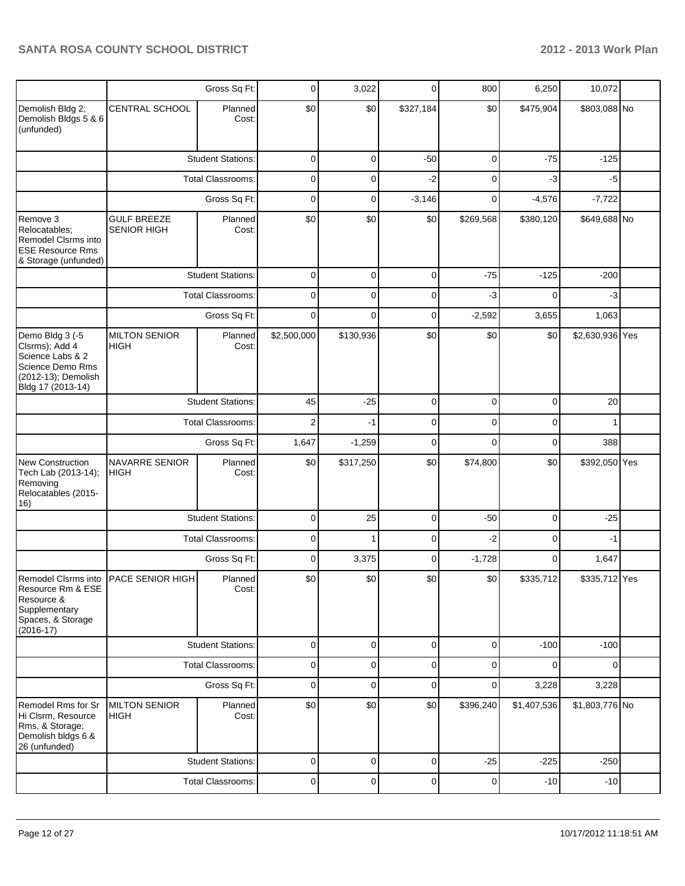|                                                                                                                       |                                          | Gross Sq Ft:             | 0            | 3,022       | 0           | 800         | 6,250          | 10,072          |  |
|-----------------------------------------------------------------------------------------------------------------------|------------------------------------------|--------------------------|--------------|-------------|-------------|-------------|----------------|-----------------|--|
| Demolish Bldg 2;<br>Demolish Bldgs 5 & 6<br>(unfunded)                                                                | <b>CENTRAL SCHOOL</b>                    | Planned<br>Cost:         | \$0          | \$0         | \$327,184   | \$0         | \$475,904      | \$803,088 No    |  |
|                                                                                                                       |                                          | <b>Student Stations:</b> | 0            | 0           | $-50$       | 0           | $-75$          | $-125$          |  |
|                                                                                                                       |                                          | <b>Total Classrooms:</b> | 0            | 0           | $-2$        | 0           | $-3$           | $-5$            |  |
|                                                                                                                       |                                          | Gross Sq Ft:             | 0            | 0           | $-3,146$    | 0           | $-4,576$       | $-7,722$        |  |
| Remove 3<br>Relocatables;<br>Remodel Clsrms into<br><b>ESE Resource Rms</b><br>& Storage (unfunded)                   | <b>GULF BREEZE</b><br><b>SENIOR HIGH</b> | Planned<br>Cost:         | \$0          | \$0         | \$0         | \$269,568   | \$380,120      | \$649,688 No    |  |
|                                                                                                                       |                                          | <b>Student Stations:</b> | $\mathbf 0$  | 0           | $\mathbf 0$ | $-75$       | $-125$         | $-200$          |  |
|                                                                                                                       |                                          | <b>Total Classrooms:</b> | 0            | 0           | $\mathbf 0$ | -3          | 0              | $-3$            |  |
|                                                                                                                       |                                          | Gross Sq Ft:             | $\mathbf{0}$ | $\Omega$    | $\mathbf 0$ | $-2,592$    | 3,655          | 1,063           |  |
| Demo Bldg 3 (-5<br>Clsrms); Add 4<br>Science Labs & 2<br>Science Demo Rms<br>(2012-13); Demolish<br>Bldg 17 (2013-14) | <b>MILTON SENIOR</b><br>HIGH             | Planned<br>Cost:         | \$2,500,000  | \$130,936   | \$0         | \$0         | \$0            | \$2,630,936 Yes |  |
|                                                                                                                       |                                          | <b>Student Stations:</b> | 45           | $-25$       | $\mathbf 0$ | 0           | $\overline{0}$ | 20              |  |
|                                                                                                                       | <b>Total Classrooms:</b>                 |                          | 2            | $-1$        | $\mathbf 0$ | 0           | 0              | 1               |  |
|                                                                                                                       |                                          | Gross Sq Ft:             | 1,647        | $-1,259$    | $\mathbf 0$ | 0           | 0              | 388             |  |
| New Construction<br>Tech Lab (2013-14);<br>Removing<br>Relocatables (2015-<br>16)                                     | NAVARRE SENIOR<br><b>HIGH</b>            | Planned<br>Cost:         | \$0          | \$317,250   | \$0         | \$74,800    | \$0            | \$392,050 Yes   |  |
|                                                                                                                       |                                          | <b>Student Stations:</b> | 0            | 25          | $\mathbf 0$ | $-50$       | 0              | $-25$           |  |
|                                                                                                                       |                                          | <b>Total Classrooms:</b> | 0            |             | 0           | -2          | 0              | $-1$            |  |
|                                                                                                                       |                                          | Gross Sq Ft:             | 0            | 3,375       | $\mathbf 0$ | $-1,728$    | 0              | 1,647           |  |
| Resource Rm & ESE<br>Resource &<br>Supplementary<br>Spaces, & Storage<br>$(2016-17)$                                  | Remodel Clsrms into PACE SENIOR HIGH     | Planned<br>Cost:         | \$0          | \$0         | \$0         | \$0         | \$335,712      | \$335,712 Yes   |  |
|                                                                                                                       |                                          | <b>Student Stations:</b> | 0            | 0           | $\mathbf 0$ | 0           | $-100$         | $-100$          |  |
|                                                                                                                       |                                          | <b>Total Classrooms:</b> | 0            | 0           | $\mathbf 0$ | 0           | 0              | 0               |  |
|                                                                                                                       |                                          | Gross Sq Ft:             | 0            | 0           | $\mathbf 0$ | 0           | 3,228          | 3,228           |  |
| Remodel Rms for Sr<br>Hi Clsrm, Resource<br>Rms, & Storage;<br>Demolish bldgs 6 &<br>26 (unfunded)                    | <b>MILTON SENIOR</b><br><b>HIGH</b>      | Planned<br>Cost:         | \$0          | \$0         | \$0         | \$396,240   | \$1,407,536    | \$1,803,776 No  |  |
|                                                                                                                       |                                          | <b>Student Stations:</b> | 0            | $\mathbf 0$ | $\mathbf 0$ | $-25$       | $-225$         | $-250$          |  |
|                                                                                                                       |                                          | <b>Total Classrooms:</b> | 0            | 0           | $\mathbf 0$ | $\mathbf 0$ | $-10$          | $-10$           |  |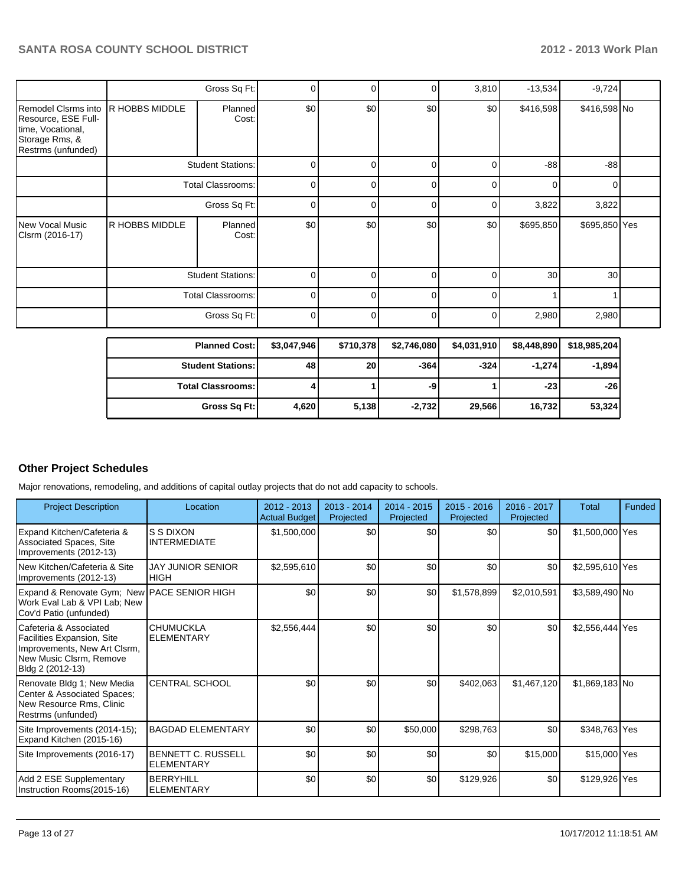|                                                                                                         |                | Gross Sq Ft:             | 0              |     | 0        | 3,810    | $-13,534$ | $-9,724$      |  |
|---------------------------------------------------------------------------------------------------------|----------------|--------------------------|----------------|-----|----------|----------|-----------|---------------|--|
| Remodel Clsrms into<br>Resource, ESE Full-<br>time, Vocational,<br>Storage Rms, &<br>Restrms (unfunded) | R HOBBS MIDDLE | Planned<br>Cost:         | \$0            | \$0 | \$0      | \$0      | \$416,598 | \$416,598 No  |  |
|                                                                                                         |                | <b>Student Stations:</b> | 0              |     | $\Omega$ | 0        | $-88$     | $-88$         |  |
|                                                                                                         |                | <b>Total Classrooms:</b> | $\overline{0}$ | 0   | $\Omega$ | $\Omega$ | $\Omega$  | 0             |  |
|                                                                                                         | Gross Sq Ft:   |                          | 0              | 0   | $\Omega$ | 01       | 3,822     | 3,822         |  |
| <b>New Vocal Music</b><br>Clsrm (2016-17)                                                               | R HOBBS MIDDLE | Planned<br>Cost:         | \$0            | \$0 | \$0      | \$0      | \$695,850 | \$695,850 Yes |  |
|                                                                                                         |                | <b>Student Stations:</b> | 0              |     | 0        | 0        | 30        | 30            |  |
|                                                                                                         |                | <b>Total Classrooms:</b> | 0              | ŋ   | $\Omega$ | 0        |           |               |  |
|                                                                                                         |                | Gross Sq Ft:             | 0              |     | $\Omega$ | 0        | 2,980     | 2,980         |  |

| <b>Planned Cost:</b>     | \$3,047,946 | \$710,378       | \$2,746,080 | \$4,031,910 | \$8,448,890 | \$18,985,204 |
|--------------------------|-------------|-----------------|-------------|-------------|-------------|--------------|
| <b>Student Stations:</b> | 48          | 20 <sub>l</sub> | $-364$      | $-324$      | $-1.274$    | $-1,894$     |
| <b>Total Classrooms:</b> |             |                 | -9          |             | $-23$       | $-26$        |
| Gross Sq Ft:             | 4,620       | 5,138           | $-2,732$    | 29,566      | 16,732      | 53,324       |

## **Other Project Schedules**

Major renovations, remodeling, and additions of capital outlay projects that do not add capacity to schools.

| <b>Project Description</b>                                                                                                            | Location                                       | $2012 - 2013$<br><b>Actual Budget</b> | $2013 - 2014$<br>Projected | $2014 - 2015$<br>Projected | $2015 - 2016$<br>Projected | $2016 - 2017$<br>Projected | Total           | Funded |
|---------------------------------------------------------------------------------------------------------------------------------------|------------------------------------------------|---------------------------------------|----------------------------|----------------------------|----------------------------|----------------------------|-----------------|--------|
| Expand Kitchen/Cafeteria &<br>Associated Spaces, Site<br>Improvements (2012-13)                                                       | <b>S S DIXON</b><br><b>INTERMEDIATE</b>        | \$1,500,000                           | \$0                        | \$0                        | \$0                        | \$0                        | \$1,500,000 Yes |        |
| l New Kitchen/Cafeteria & Site<br>Improvements (2012-13)                                                                              | <b>JAY JUNIOR SENIOR</b><br><b>HIGH</b>        | \$2,595,610                           | \$0                        | \$0                        | \$0                        | \$0                        | \$2,595,610 Yes |        |
| Expand & Renovate Gym; New PACE SENIOR HIGH<br>Work Eval Lab & VPI Lab; New<br>Cov'd Patio (unfunded)                                 |                                                | \$0                                   | \$0                        | \$0                        | \$1,578,899                | \$2,010,591                | \$3,589,490 No  |        |
| l Cafeteria & Associated<br>Facilities Expansion, Site<br>Improvements, New Art Clsrm,<br>New Music Clsrm, Remove<br>Bldg 2 (2012-13) | <b>CHUMUCKLA</b><br><b>ELEMENTARY</b>          | \$2,556,444                           | \$0                        | \$0                        | \$0                        | \$0                        | \$2,556,444 Yes |        |
| Renovate Bldg 1; New Media<br>Center & Associated Spaces;<br>New Resource Rms, Clinic<br>Restrms (unfunded)                           | <b>CENTRAL SCHOOL</b>                          | \$0                                   | \$0                        | \$0                        | \$402,063                  | \$1,467,120                | $$1,869,183$ No |        |
| Site Improvements (2014-15);<br>Expand Kitchen (2015-16)                                                                              | <b>BAGDAD ELEMENTARY</b>                       | \$0                                   | \$0                        | \$50,000                   | \$298,763                  | \$0                        | \$348,763 Yes   |        |
| Site Improvements (2016-17)                                                                                                           | <b>BENNETT C. RUSSELL</b><br><b>ELEMENTARY</b> | \$0                                   | \$0                        | \$0                        | \$0                        | \$15,000                   | \$15,000 Yes    |        |
| Add 2 ESE Supplementary<br>Instruction Rooms(2015-16)                                                                                 | <b>BERRYHILL</b><br><b>ELEMENTARY</b>          | \$0                                   | \$0                        | \$0                        | \$129,926                  | \$0                        | \$129,926 Yes   |        |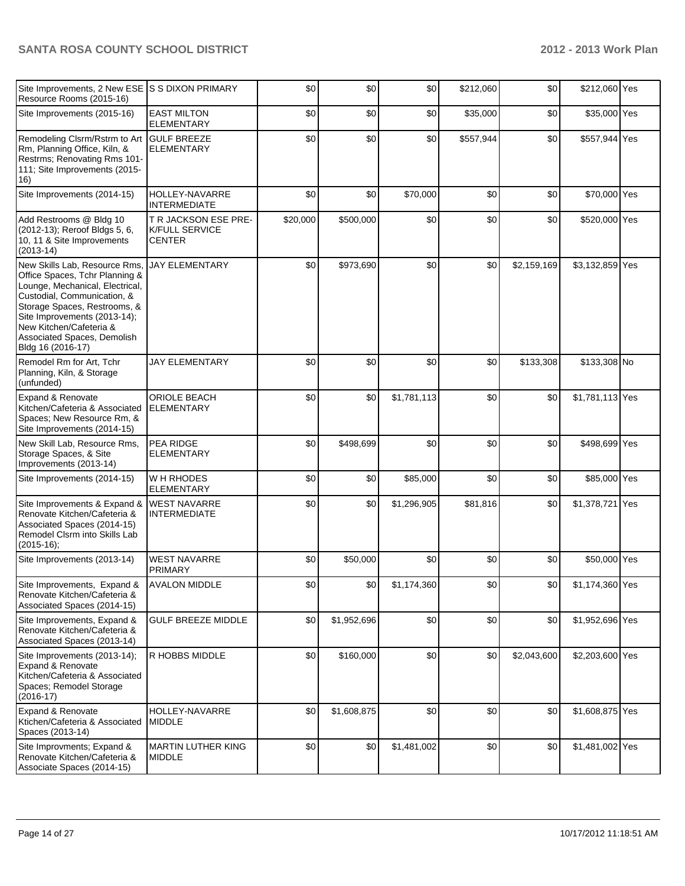| Site Improvements, 2 New ESE S S DIXON PRIMARY<br>Resource Rooms (2015-16)                                                                                                                                                                                                       |                                                                | \$0      | \$0         | \$0         | \$212,060 | \$0         | \$212,060 Yes   |  |
|----------------------------------------------------------------------------------------------------------------------------------------------------------------------------------------------------------------------------------------------------------------------------------|----------------------------------------------------------------|----------|-------------|-------------|-----------|-------------|-----------------|--|
| Site Improvements (2015-16)                                                                                                                                                                                                                                                      | <b>EAST MILTON</b><br><b>ELEMENTARY</b>                        | \$0      | \$0         | \$0         | \$35,000  | \$0         | \$35,000 Yes    |  |
| Remodeling Clsrm/Rstrm to Art GULF BREEZE<br>Rm, Planning Office, Kiln, &<br>Restrms; Renovating Rms 101-<br>111; Site Improvements (2015-<br>16)                                                                                                                                | <b>ELEMENTARY</b>                                              | \$0      | \$0         | \$0         | \$557,944 | \$0         | \$557,944 Yes   |  |
| Site Improvements (2014-15)                                                                                                                                                                                                                                                      | HOLLEY-NAVARRE<br><b>INTERMEDIATE</b>                          | \$0      | \$0         | \$70,000    | \$0       | \$0         | \$70,000 Yes    |  |
| Add Restrooms @ Bldg 10<br>(2012-13); Reroof Bldgs 5, 6,<br>10, 11 & Site Improvements<br>$(2013-14)$                                                                                                                                                                            | T R JACKSON ESE PRE-<br><b>K/FULL SERVICE</b><br><b>CENTER</b> | \$20,000 | \$500,000   | \$0         | \$0       | \$0         | \$520,000 Yes   |  |
| New Skills Lab, Resource Rms,<br>Office Spaces, Tchr Planning &<br>Lounge, Mechanical, Electrical,<br>Custodial, Communication, &<br>Storage Spaces, Restrooms, &<br>Site Improvements (2013-14);<br>New Kitchen/Cafeteria &<br>Associated Spaces, Demolish<br>Bldg 16 (2016-17) | <b>JAY ELEMENTARY</b>                                          | \$0      | \$973,690   | \$0         | \$0       | \$2,159,169 | \$3,132,859 Yes |  |
| Remodel Rm for Art, Tchr<br>Planning, Kiln, & Storage<br>(unfunded)                                                                                                                                                                                                              | <b>JAY ELEMENTARY</b>                                          | \$0      | \$0         | \$0         | \$0       | \$133,308   | \$133,308 No    |  |
| Expand & Renovate<br>Kitchen/Cafeteria & Associated<br>Spaces; New Resource Rm, &<br>Site Improvements (2014-15)                                                                                                                                                                 | <b>ORIOLE BEACH</b><br><b>ELEMENTARY</b>                       | \$0      | \$0         | \$1,781,113 | \$0       | \$0         | \$1,781,113 Yes |  |
| New Skill Lab, Resource Rms,<br>Storage Spaces, & Site<br>Improvements (2013-14)                                                                                                                                                                                                 | PEA RIDGE<br>ELEMENTARY                                        | \$0      | \$498,699   | \$0         | \$0       | \$0         | \$498,699 Yes   |  |
| Site Improvements (2014-15)                                                                                                                                                                                                                                                      | W H RHODES<br><b>ELEMENTARY</b>                                | \$0      | \$0         | \$85,000    | \$0       | \$0         | \$85,000 Yes    |  |
| Site Improvements & Expand &<br>Renovate Kitchen/Cafeteria &<br>Associated Spaces (2014-15)<br>Remodel Clsrm into Skills Lab<br>$(2015-16);$                                                                                                                                     | <b>WEST NAVARRE</b><br><b>INTERMEDIATE</b>                     | \$0      | \$0         | \$1,296,905 | \$81,816  | \$0         | \$1,378,721 Yes |  |
| Site Improvements (2013-14)                                                                                                                                                                                                                                                      | <b>WEST NAVARRE</b><br>PRIMARY                                 | \$0      | \$50,000    | \$0         | \$0       | \$0         | \$50,000 Yes    |  |
| Site Improvements, Expand &<br>Renovate Kitchen/Cafeteria &<br>Associated Spaces (2014-15)                                                                                                                                                                                       | <b>AVALON MIDDLE</b>                                           | 30       | \$0 I       | \$1,174,360 | 30        | \$0         | \$1,174,360 Yes |  |
| Site Improvements, Expand &<br>Renovate Kitchen/Cafeteria &<br>Associated Spaces (2013-14)                                                                                                                                                                                       | <b>GULF BREEZE MIDDLE</b>                                      | \$0      | \$1,952,696 | \$0         | \$0       | \$0         | \$1,952,696 Yes |  |
| Site Improvements (2013-14);<br>Expand & Renovate<br>Kitchen/Cafeteria & Associated<br>Spaces; Remodel Storage<br>$(2016-17)$                                                                                                                                                    | R HOBBS MIDDLE                                                 | \$0      | \$160,000   | \$0         | \$0       | \$2,043,600 | \$2,203,600 Yes |  |
| Expand & Renovate<br>Ktichen/Cafeteria & Associated<br>Spaces (2013-14)                                                                                                                                                                                                          | HOLLEY-NAVARRE<br><b>MIDDLE</b>                                | \$0      | \$1,608,875 | \$0         | \$0       | \$0         | \$1,608,875 Yes |  |
| Site Improvments; Expand &<br>Renovate Kitchen/Cafeteria &<br>Associate Spaces (2014-15)                                                                                                                                                                                         | <b>MARTIN LUTHER KING</b><br><b>MIDDLE</b>                     | \$0      | \$0         | \$1,481,002 | \$0       | \$0         | \$1,481,002 Yes |  |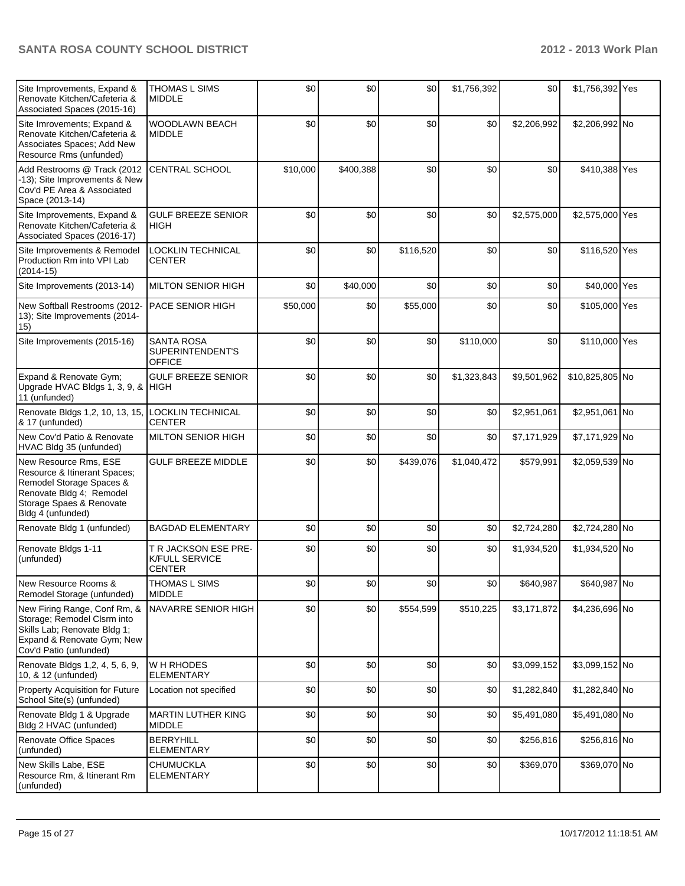| Site Improvements, Expand &<br>Renovate Kitchen/Cafeteria &<br>Associated Spaces (2015-16)                                                                     | <b>THOMAS L SIMS</b><br><b>MIDDLE</b>                          | \$0      | \$0       | \$0       | \$1,756,392 | \$0         | \$1,756,392 Yes |  |
|----------------------------------------------------------------------------------------------------------------------------------------------------------------|----------------------------------------------------------------|----------|-----------|-----------|-------------|-------------|-----------------|--|
| Site Imrovements; Expand &<br>Renovate Kitchen/Cafeteria &<br>Associates Spaces; Add New<br>Resource Rms (unfunded)                                            | WOODLAWN BEACH<br><b>MIDDLE</b>                                | \$0      | \$0       | \$0       | \$0         | \$2,206,992 | \$2,206,992 No  |  |
| Add Restrooms @ Track (2012<br>-13); Site Improvements & New<br>Cov'd PE Area & Associated<br>Space (2013-14)                                                  | CENTRAL SCHOOL                                                 | \$10,000 | \$400,388 | \$0       | \$0         | \$0         | \$410,388 Yes   |  |
| Site Improvements, Expand &<br>Renovate Kitchen/Cafeteria &<br>Associated Spaces (2016-17)                                                                     | <b>GULF BREEZE SENIOR</b><br><b>HIGH</b>                       | \$0      | \$0       | \$0       | \$0         | \$2,575,000 | \$2,575,000 Yes |  |
| Site Improvements & Remodel<br>Production Rm into VPI Lab<br>$(2014-15)$                                                                                       | LOCKLIN TECHNICAL<br><b>CENTER</b>                             | \$0      | \$0       | \$116,520 | \$0         | \$0         | \$116,520 Yes   |  |
| Site Improvements (2013-14)                                                                                                                                    | <b>MILTON SENIOR HIGH</b>                                      | \$0      | \$40,000  | \$0       | \$0         | \$0         | \$40,000 Yes    |  |
| New Softball Restrooms (2012-<br>13); Site Improvements (2014-<br>15)                                                                                          | <b>PACE SENIOR HIGH</b>                                        | \$50,000 | \$0       | \$55,000  | \$0         | \$0         | \$105,000 Yes   |  |
| Site Improvements (2015-16)                                                                                                                                    | <b>SANTA ROSA</b><br>SUPERINTENDENT'S<br><b>OFFICE</b>         | \$0      | \$0       | \$0       | \$110,000   | \$0         | \$110,000 Yes   |  |
| Expand & Renovate Gym;<br>Upgrade HVAC Bldgs 1, 3, 9, & HIGH<br>11 (unfunded)                                                                                  | <b>GULF BREEZE SENIOR</b>                                      | \$0      | \$0       | \$0       | \$1,323,843 | \$9,501,962 | \$10,825,805 No |  |
| Renovate Bldgs 1,2, 10, 13, 15,<br>8. 17 (unfunded)                                                                                                            | <b>LOCKLIN TECHNICAL</b><br><b>CENTER</b>                      | \$0      | \$0       | \$0       | \$0         | \$2,951,061 | \$2,951,061 No  |  |
| New Cov'd Patio & Renovate<br>HVAC Bldg 35 (unfunded)                                                                                                          | <b>MILTON SENIOR HIGH</b>                                      | \$0      | \$0       | \$0       | \$0         | \$7,171,929 | \$7,171,929 No  |  |
| New Resource Rms, ESE<br>Resource & Itinerant Spaces;<br>Remodel Storage Spaces &<br>Renovate Bldg 4; Remodel<br>Storage Spaes & Renovate<br>Bldg 4 (unfunded) | <b>GULF BREEZE MIDDLE</b>                                      | \$0      | \$0       | \$439,076 | \$1,040,472 | \$579,991   | \$2,059,539 No  |  |
| Renovate Bldg 1 (unfunded)                                                                                                                                     | <b>BAGDAD ELEMENTARY</b>                                       | \$0      | \$0       | \$0       | \$0         | \$2,724,280 | \$2,724,280 No  |  |
| Renovate Bldgs 1-11<br>(unfunded)                                                                                                                              | T R JACKSON ESE PRE-<br><b>K/FULL SERVICE</b><br><b>CENTER</b> | \$0      | \$0       | \$0       | \$0         | \$1,934,520 | \$1,934,520 No  |  |
| New Resource Rooms &<br>Remodel Storage (unfunded)                                                                                                             | THOMAS L SIMS<br><b>MIDDLE</b>                                 | \$0      | \$0       | \$0       | \$0         | \$640,987   | \$640,987 No    |  |
| New Firing Range, Conf Rm, &<br>Storage; Remodel Clsrm into<br>Skills Lab; Renovate Bldg 1;<br>Expand & Renovate Gym; New<br>Cov'd Patio (unfunded)            | NAVARRE SENIOR HIGH                                            | \$0      | \$0       | \$554,599 | \$510,225   | \$3,171,872 | \$4,236,696 No  |  |
| Renovate Bldgs 1,2, 4, 5, 6, 9,<br>10, & 12 (unfunded)                                                                                                         | W H RHODES<br><b>ELEMENTARY</b>                                | \$0      | \$0       | \$0       | \$0         | \$3,099,152 | \$3,099,152 No  |  |
| Property Acquisition for Future<br>School Site(s) (unfunded)                                                                                                   | Location not specified                                         | \$0      | \$0       | \$0       | \$0         | \$1,282,840 | \$1,282,840 No  |  |
| Renovate Bldg 1 & Upgrade<br>Bldg 2 HVAC (unfunded)                                                                                                            | <b>MARTIN LUTHER KING</b><br><b>MIDDLE</b>                     | \$0      | \$0       | \$0       | \$0         | \$5,491,080 | \$5,491,080 No  |  |
| Renovate Office Spaces<br>(unfunded)                                                                                                                           | <b>BERRYHILL</b><br><b>ELEMENTARY</b>                          | \$0      | \$0       | \$0       | \$0         | \$256,816   | \$256,816 No    |  |
| New Skills Labe, ESE<br>Resource Rm, & Itinerant Rm<br>(unfunded)                                                                                              | <b>CHUMUCKLA</b><br><b>ELEMENTARY</b>                          | \$0      | \$0       | \$0       | \$0         | \$369,070   | \$369,070 No    |  |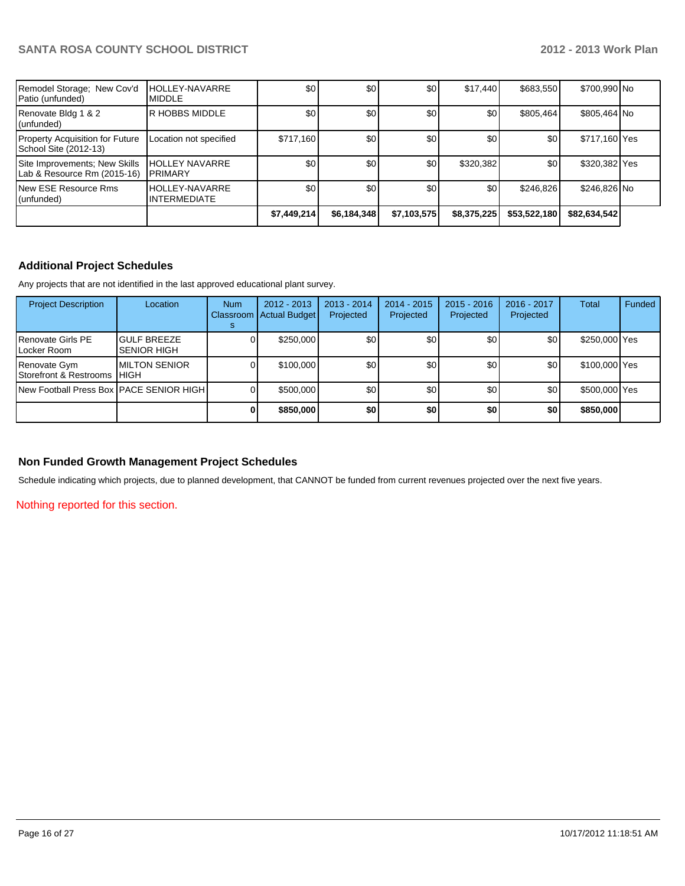| Remodel Storage; New Cov'd<br>Patio (unfunded)                  | <b>HOLLEY-NAVARRE</b><br><b>MIDDLE</b>   | \$0              | \$0              | \$0         | \$17.440         | \$683,550    | \$700,990 No  |  |
|-----------------------------------------------------------------|------------------------------------------|------------------|------------------|-------------|------------------|--------------|---------------|--|
| Renovate Bldg 1 & 2<br>(unfunded)                               | R HOBBS MIDDLE                           | \$0              | \$0 <sub>1</sub> | \$0         | \$0              | \$805,464    | \$805,464 No  |  |
| <b>Property Acquisition for Future</b><br>School Site (2012-13) | Location not specified                   | \$717,160        | \$0              | \$0         | \$0              | \$0          | \$717,160 Yes |  |
| Site Improvements; New Skills<br>Lab & Resource Rm (2015-16)    | <b>HOLLEY NAVARRE</b><br><b>IPRIMARY</b> | \$0              | \$0              | \$0         | \$320,382        | \$0          | \$320,382 Yes |  |
| New ESE Resource Rms<br>(unfunded)                              | HOLLEY-NAVARRE<br><b>INTERMEDIATE</b>    | \$0 <sub>1</sub> | \$0 <sub>1</sub> | \$0         | \$0 <sub>1</sub> | \$246.826    | \$246,826 No  |  |
|                                                                 |                                          | \$7,449,214      | \$6,184,348      | \$7,103,575 | \$8,375,225      | \$53,522,180 | \$82,634,542  |  |

## **Additional Project Schedules**

Any projects that are not identified in the last approved educational plant survey.

| <b>Project Description</b>                            | Location                                 | <b>Num</b> | $2012 - 2013$<br>Classroom   Actual Budget | $2013 - 2014$<br>Projected | 2014 - 2015<br>Projected | $2015 - 2016$<br>Projected | 2016 - 2017<br>Projected | Total         | Funded |
|-------------------------------------------------------|------------------------------------------|------------|--------------------------------------------|----------------------------|--------------------------|----------------------------|--------------------------|---------------|--------|
| I Renovate Girls PE<br>I Locker Room                  | <b>GULF BREEZE</b><br><b>SENIOR HIGH</b> |            | \$250,000                                  | \$0                        | \$0                      | \$0 <sub>l</sub>           | \$0                      | \$250,000 Yes |        |
| Renovate Gym<br><b>I</b> Storefront & Restrooms IHIGH | <b>MILTON SENIOR</b>                     |            | \$100,000                                  | \$0                        | \$0                      | \$0                        | \$0                      | \$100,000 Yes |        |
| New Football Press Box PACE SENIOR HIGH I             |                                          |            | \$500,000                                  | \$0                        | \$0                      | \$0                        | \$0                      | \$500,000 Yes |        |
|                                                       |                                          |            | \$850,000                                  | \$0                        | \$0                      | \$0 <sub>1</sub>           | \$0                      | \$850,000     |        |

## **Non Funded Growth Management Project Schedules**

Schedule indicating which projects, due to planned development, that CANNOT be funded from current revenues projected over the next five years.

Nothing reported for this section.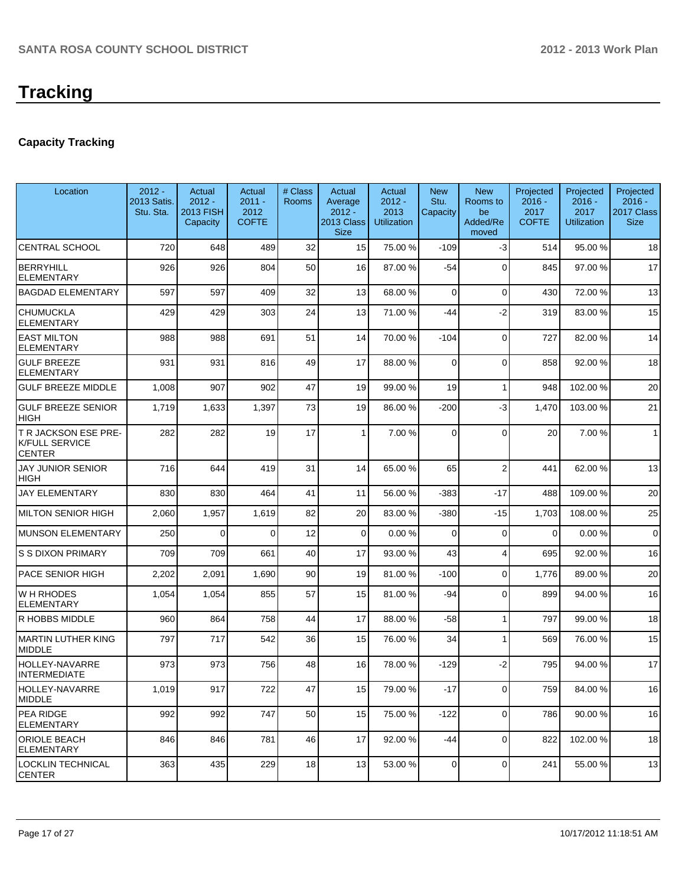## **Capacity Tracking**

| Location                                                              | $2012 -$<br>2013 Satis.<br>Stu. Sta. | Actual<br>$2012 -$<br><b>2013 FISH</b><br>Capacity | Actual<br>$2011 -$<br>2012<br><b>COFTE</b> | # Class<br><b>Rooms</b> | Actual<br>Average<br>$2012 -$<br>2013 Class<br><b>Size</b> | Actual<br>$2012 -$<br>2013<br><b>Utilization</b> | <b>New</b><br>Stu.<br>Capacity | <b>New</b><br>Rooms to<br>be<br>Added/Re<br>moved | Projected<br>$2016 -$<br>2017<br><b>COFTE</b> | Projected<br>$2016 -$<br>2017<br><b>Utilization</b> | Projected<br>$2016 -$<br>2017 Class<br><b>Size</b> |
|-----------------------------------------------------------------------|--------------------------------------|----------------------------------------------------|--------------------------------------------|-------------------------|------------------------------------------------------------|--------------------------------------------------|--------------------------------|---------------------------------------------------|-----------------------------------------------|-----------------------------------------------------|----------------------------------------------------|
| <b>CENTRAL SCHOOL</b>                                                 | 720                                  | 648                                                | 489                                        | 32                      | 15                                                         | 75.00 %                                          | $-109$                         | $-3$                                              | 514                                           | 95.00 %                                             | 18                                                 |
| <b>BERRYHILL</b><br><b>ELEMENTARY</b>                                 | 926                                  | 926                                                | 804                                        | 50                      | 16                                                         | 87.00 %                                          | $-54$                          | $\Omega$                                          | 845                                           | 97.00 %                                             | 17                                                 |
| <b>BAGDAD ELEMENTARY</b>                                              | 597                                  | 597                                                | 409                                        | 32                      | 13                                                         | 68.00 %                                          | $\Omega$                       | $\Omega$                                          | 430                                           | 72.00 %                                             | 13                                                 |
| <b>CHUMUCKLA</b><br><b>ELEMENTARY</b>                                 | 429                                  | 429                                                | 303                                        | 24                      | 13                                                         | 71.00 %                                          | $-44$                          | $-2$                                              | 319                                           | 83.00 %                                             | 15                                                 |
| <b>EAST MILTON</b><br><b>ELEMENTARY</b>                               | 988                                  | 988                                                | 691                                        | 51                      | 14                                                         | 70.00 %                                          | $-104$                         | $\Omega$                                          | 727                                           | 82.00%                                              | 14                                                 |
| <b>GULF BREEZE</b><br><b>ELEMENTARY</b>                               | 931                                  | 931                                                | 816                                        | 49                      | 17                                                         | 88.00 %                                          | $\mathbf 0$                    | $\Omega$                                          | 858                                           | 92.00%                                              | 18                                                 |
| <b>GULF BREEZE MIDDLE</b>                                             | 1,008                                | 907                                                | 902                                        | 47                      | 19                                                         | 99.00 %                                          | 19                             | 1                                                 | 948                                           | 102.00%                                             | 20                                                 |
| <b>GULF BREEZE SENIOR</b><br><b>HIGH</b>                              | 1,719                                | 1,633                                              | 1,397                                      | 73                      | 19                                                         | 86.00 %                                          | $-200$                         | -3                                                | 1,470                                         | 103.00%                                             | 21                                                 |
| <b>T R JACKSON ESE PRE-</b><br><b>K/FULL SERVICE</b><br><b>CENTER</b> | 282                                  | 282                                                | 19                                         | 17                      | 1                                                          | 7.00 %                                           | $\Omega$                       | $\Omega$                                          | 20                                            | 7.00%                                               | $\mathbf{1}$                                       |
| <b>JAY JUNIOR SENIOR</b><br>HIGH                                      | 716                                  | 644                                                | 419                                        | 31                      | 14                                                         | 65.00 %                                          | 65                             | $\overline{2}$                                    | 441                                           | 62.00%                                              | 13                                                 |
| <b>JAY ELEMENTARY</b>                                                 | 830                                  | 830                                                | 464                                        | 41                      | 11                                                         | 56.00 %                                          | -383                           | $-17$                                             | 488                                           | 109.00%                                             | 20                                                 |
| <b>MILTON SENIOR HIGH</b>                                             | 2,060                                | 1,957                                              | 1,619                                      | 82                      | 20                                                         | 83.00 %                                          | $-380$                         | $-15$                                             | 1,703                                         | 108.00%                                             | 25                                                 |
| <b>MUNSON ELEMENTARY</b>                                              | 250                                  | $\mathbf 0$                                        | 0                                          | 12                      | 0                                                          | 0.00 %                                           | 0                              | $\Omega$                                          | $\Omega$                                      | 0.00%                                               | $\mathbf 0$                                        |
| <b>S S DIXON PRIMARY</b>                                              | 709                                  | 709                                                | 661                                        | 40                      | 17                                                         | 93.00 %                                          | 43                             | 4                                                 | 695                                           | 92.00%                                              | 16                                                 |
| PACE SENIOR HIGH                                                      | 2,202                                | 2,091                                              | 1,690                                      | 90                      | 19                                                         | 81.00 %                                          | $-100$                         | $\Omega$                                          | 1,776                                         | 89.00 %                                             | 20                                                 |
| <b>WH RHODES</b><br><b>ELEMENTARY</b>                                 | 1,054                                | 1,054                                              | 855                                        | 57                      | 15                                                         | 81.00 %                                          | -94                            | $\Omega$                                          | 899                                           | 94.00%                                              | 16                                                 |
| R HOBBS MIDDLE                                                        | 960                                  | 864                                                | 758                                        | 44                      | 17                                                         | 88.00 %                                          | $-58$                          | 1                                                 | 797                                           | 99.00 %                                             | 18                                                 |
| <b>MARTIN LUTHER KING</b><br>MIDDLE                                   | 797                                  | 717                                                | 542                                        | 36                      | 15                                                         | 76.00 %                                          | 34                             | 1                                                 | 569                                           | 76.00 %                                             | 15                                                 |
| <b>HOLLEY-NAVARRE</b><br><b>INTERMEDIATE</b>                          | 973                                  | 973                                                | 756                                        | 48                      | 16                                                         | 78.00 %                                          | $-129$                         | $-2$                                              | 795                                           | 94.00%                                              | 17                                                 |
| <b>HOLLEY-NAVARRE</b><br><b>MIDDLE</b>                                | 1,019                                | 917                                                | 722                                        | 47                      | 15 <sup>1</sup>                                            | 79.00 %                                          | $-17$                          | $\overline{0}$                                    | 759                                           | 84.00 %                                             | 16                                                 |
| <b>PEA RIDGE</b><br><b>ELEMENTARY</b>                                 | 992                                  | 992                                                | 747                                        | 50                      | 15                                                         | 75.00 %                                          | $-122$                         | $\Omega$                                          | 786                                           | 90.00 %                                             | 16                                                 |
| <b>ORIOLE BEACH</b><br>ELEMENTARY                                     | 846                                  | 846                                                | 781                                        | 46                      | 17                                                         | 92.00 %                                          | $-44$                          | $\Omega$                                          | 822                                           | 102.00%                                             | 18                                                 |
| <b>LOCKLIN TECHNICAL</b><br><b>CENTER</b>                             | 363                                  | 435                                                | 229                                        | 18                      | 13                                                         | 53.00 %                                          | 0                              | $\overline{0}$                                    | 241                                           | 55.00 %                                             | 13                                                 |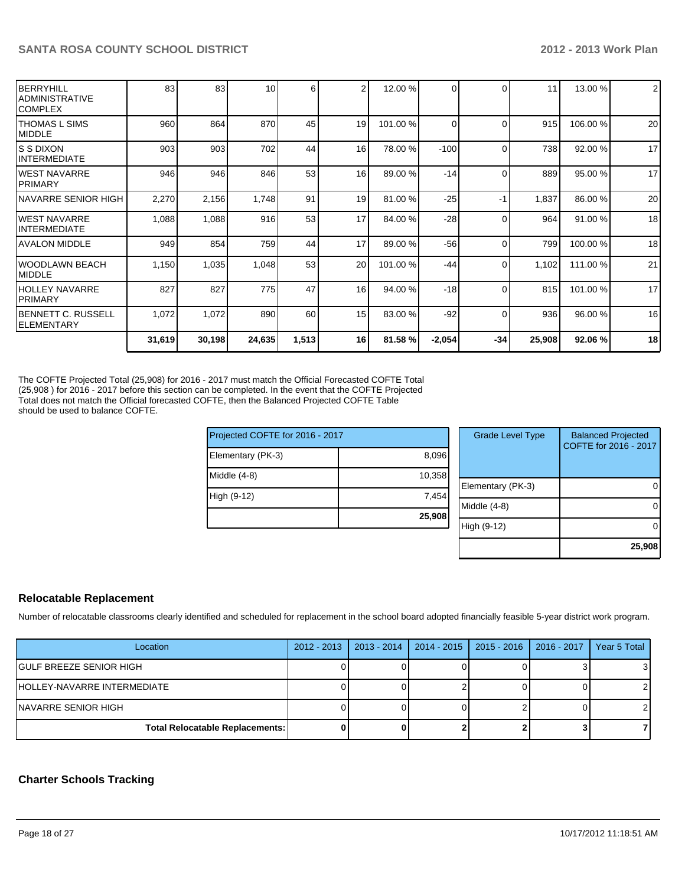| BERRYHILL<br>IADMINISTRATIVE<br>ICOMPLEX | 83     | 83     | 10 <sup>1</sup> | 6     | $\mathfrak{p}$  | 12.00 %  |          | $\Omega$ | 11     | 13.00 %  | $\overline{2}$ |
|------------------------------------------|--------|--------|-----------------|-------|-----------------|----------|----------|----------|--------|----------|----------------|
| ITHOMAS L SIMS<br>MIDDLE                 | 960    | 864    | 870             | 45    | 19              | 101.00 % | $\Omega$ | $\Omega$ | 915    | 106.00%  | 20             |
| IS S DIXON<br>IINTERMEDIATE              | 903    | 903    | 702             | 44    | 16              | 78.00 %  | $-100$   | $\Omega$ | 738    | 92.00 %  | 17             |
| IWEST NAVARRE<br><b>IPRIMARY</b>         | 946    | 946    | 846             | 53    | 16              | 89.00 %  | $-14$    | $\Omega$ | 889    | 95.00 %  | 17             |
| INAVARRE SENIOR HIGH                     | 2,270  | 2,156  | 1,748           | 91    | 19              | 81.00 %  | $-25$    | -1       | 1,837  | 86.00 %  | 20             |
| <b>IWEST NAVARRE</b><br>IINTERMEDIATE    | 1,088  | 1,088  | 916             | 53    | 17              | 84.00 %  | $-28$    | $\Omega$ | 964    | 91.00 %  | 18             |
| <b>AVALON MIDDLE</b>                     | 949    | 854    | 759             | 44    | 17              | 89.00 %  | $-56$    | $\Omega$ | 799    | 100.00%  | 18             |
| IWOODLAWN BEACH<br>IMIDDLE               | 1,150  | 1,035  | 1,048           | 53    | 20 <sup>1</sup> | 101.00 % | -44      | $\Omega$ | 1,102  | 111.00 % | 21             |
| HOLLEY NAVARRE<br><b>IPRIMARY</b>        | 827    | 827    | 775             | 47    | 16              | 94.00 %  | $-18$    | $\Omega$ | 815    | 101.00%  | 17             |
| IBENNETT C. RUSSELL<br>IELEMENTARY       | 1,072  | 1,072  | 890             | 60    | 15 <sup>1</sup> | 83.00 %  | $-92$    | 0        | 936    | 96.00 %  | 16             |
|                                          | 31,619 | 30,198 | 24,635          | 1,513 | 16              | 81.58 %  | $-2,054$ | $-34$    | 25,908 | 92.06%   | 18             |

The COFTE Projected Total (25,908) for 2016 - 2017 must match the Official Forecasted COFTE Total (25,908) for 2016 - 2017 before this section can be completed. In the event that the COFTE Projected Total does not match the Official forecasted COFTE, then the Balanced Projected COFTE Table should be used to balance COFTE.

| Projected COFTE for 2016 - 2017 |        |    |  |  |  |  |
|---------------------------------|--------|----|--|--|--|--|
| Elementary (PK-3)               | 8,096  |    |  |  |  |  |
| Middle $(4-8)$                  | 10,358 | Ek |  |  |  |  |
| High (9-12)                     | 7,454  | Mi |  |  |  |  |
|                                 | 25,908 | Hi |  |  |  |  |
|                                 |        |    |  |  |  |  |

| <b>Grade Level Type</b> | <b>Balanced Projected</b><br>COFTE for 2016 - 2017 |
|-------------------------|----------------------------------------------------|
| Elementary (PK-3)       |                                                    |
| Middle $(4-8)$          |                                                    |
| High (9-12)             |                                                    |
|                         | 25,908                                             |

## **Relocatable Replacement**

Number of relocatable classrooms clearly identified and scheduled for replacement in the school board adopted financially feasible 5-year district work program.

| Location                               | 2012 - 2013   2013 - 2014 | 2014 - 2015   2015 - 2016   2016 - 2017 | Year 5 Total |
|----------------------------------------|---------------------------|-----------------------------------------|--------------|
| IGULF BREEZE SENIOR HIGH               |                           |                                         | 31           |
| IHOLLEY-NAVARRE INTERMEDIATE           |                           |                                         |              |
| INAVARRE SENIOR HIGH                   |                           |                                         |              |
| <b>Total Relocatable Replacements:</b> |                           |                                         |              |

### **Charter Schools Tracking**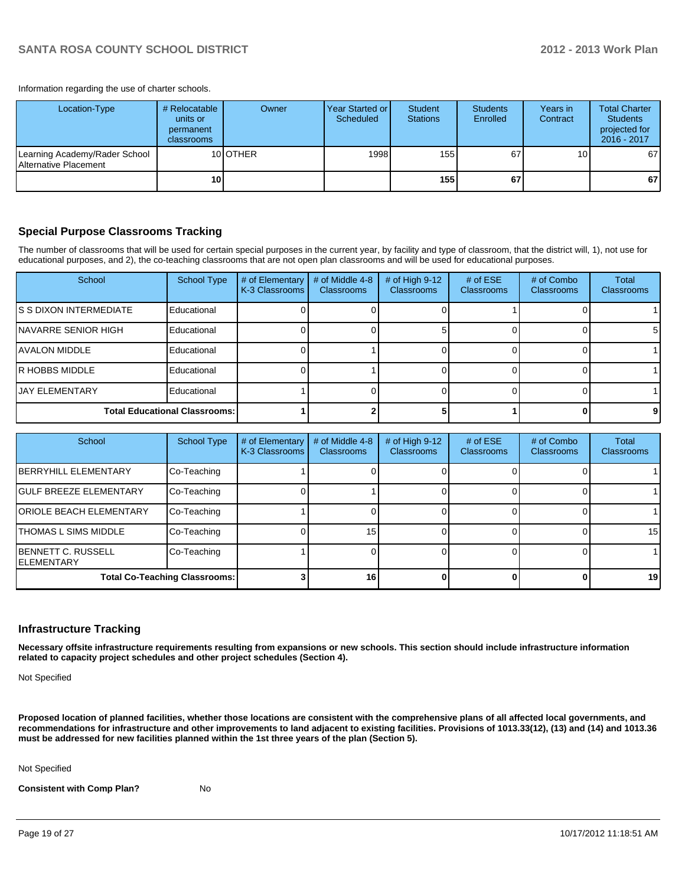Information regarding the use of charter schools.

| Location-Type                                          | # Relocatable<br>units or<br>permanent<br>classrooms | Owner            | Year Started or I<br>Scheduled | Student<br><b>Stations</b> | <b>Students</b><br>Enrolled | Years in<br>Contract | <b>Total Charter</b><br><b>Students</b><br>projected for<br>2016 - 2017 |
|--------------------------------------------------------|------------------------------------------------------|------------------|--------------------------------|----------------------------|-----------------------------|----------------------|-------------------------------------------------------------------------|
| Learning Academy/Rader School<br>Alternative Placement |                                                      | 10 <b>IOTHER</b> | 1998                           | 155                        | 67                          | 10 <sub>1</sub>      | 67                                                                      |
|                                                        | 10                                                   |                  |                                | 155 l                      | 67                          |                      | 67 I                                                                    |

#### **Special Purpose Classrooms Tracking**

The number of classrooms that will be used for certain special purposes in the current year, by facility and type of classroom, that the district will, 1), not use for educational purposes, and 2), the co-teaching classrooms that are not open plan classrooms and will be used for educational purposes.

| School                               | <b>School Type</b> | # of Elementary<br>K-3 Classrooms | # of Middle 4-8<br><b>Classrooms</b> | # of High $9-12$<br>Classrooms | # of $ESE$<br><b>Classrooms</b> | # of Combo<br><b>Classrooms</b> | <b>Total</b><br>Classrooms |
|--------------------------------------|--------------------|-----------------------------------|--------------------------------------|--------------------------------|---------------------------------|---------------------------------|----------------------------|
| IS S DIXON INTERMEDIATE              | Educational        |                                   |                                      |                                |                                 |                                 |                            |
| INAVARRE SENIOR HIGH                 | Educational        |                                   |                                      |                                |                                 |                                 | 5                          |
| IAVALON MIDDLE                       | Educational        |                                   |                                      |                                |                                 |                                 |                            |
| IR HOBBS MIDDLE                      | Educational        |                                   |                                      |                                |                                 |                                 |                            |
| <b>JAY ELEMENTARY</b>                | Educational        |                                   |                                      |                                |                                 |                                 |                            |
| <b>Total Educational Classrooms:</b> |                    |                                   |                                      |                                |                                 |                                 |                            |

| School                                           | <b>School Type</b> | # of Elementary<br>K-3 Classrooms | # of Middle 4-8<br><b>Classrooms</b> | # of High $9-12$<br><b>Classrooms</b> | # of $ESE$<br><b>Classrooms</b> | # of Combo<br><b>Classrooms</b> | Total<br>Classrooms |
|--------------------------------------------------|--------------------|-----------------------------------|--------------------------------------|---------------------------------------|---------------------------------|---------------------------------|---------------------|
| <b>IBERRYHILL ELEMENTARY</b>                     | Co-Teaching        |                                   |                                      |                                       |                                 |                                 |                     |
| <b>IGULF BREEZE ELEMENTARY</b>                   | Co-Teaching        |                                   |                                      |                                       |                                 |                                 |                     |
| <b>IORIOLE BEACH ELEMENTARY</b>                  | Co-Teaching        |                                   |                                      |                                       |                                 |                                 |                     |
| <b>THOMAS L SIMS MIDDLE</b>                      | Co-Teaching        |                                   | 15 <sub>1</sub>                      |                                       |                                 |                                 | 15 <sup>1</sup>     |
| <b>IBENNETT C. RUSSELL</b><br><b>IELEMENTARY</b> | Co-Teaching        |                                   |                                      |                                       |                                 |                                 |                     |
| <b>Total Co-Teaching Classrooms:</b>             |                    |                                   | 16                                   |                                       |                                 |                                 | 19                  |

#### **Infrastructure Tracking**

**Necessary offsite infrastructure requirements resulting from expansions or new schools. This section should include infrastructure information related to capacity project schedules and other project schedules (Section 4).**

Not Specified

**Proposed location of planned facilities, whether those locations are consistent with the comprehensive plans of all affected local governments, and recommendations for infrastructure and other improvements to land adjacent to existing facilities. Provisions of 1013.33(12), (13) and (14) and 1013.36 must be addressed for new facilities planned within the 1st three years of the plan (Section 5).**

Not Specified

**Consistent with Comp Plan?** No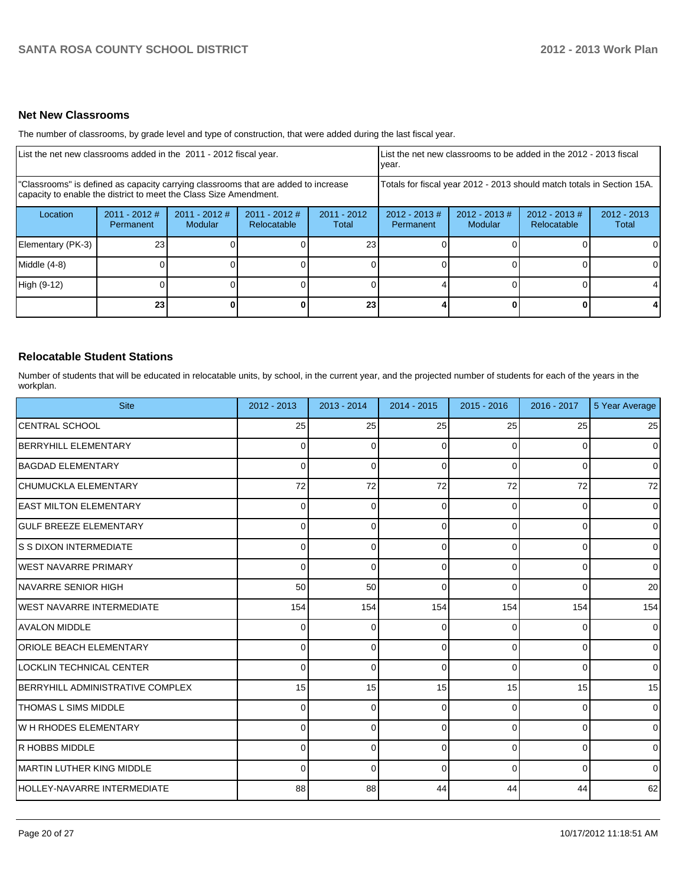#### **Net New Classrooms**

The number of classrooms, by grade level and type of construction, that were added during the last fiscal year.

| List the net new classrooms added in the 2011 - 2012 fiscal year.                                                                                       | List the net new classrooms to be added in the 2012 - 2013 fiscal<br>Ivear.                                                   |  |  |                 |                                                                        |                            |                                |                        |
|---------------------------------------------------------------------------------------------------------------------------------------------------------|-------------------------------------------------------------------------------------------------------------------------------|--|--|-----------------|------------------------------------------------------------------------|----------------------------|--------------------------------|------------------------|
| "Classrooms" is defined as capacity carrying classrooms that are added to increase<br>capacity to enable the district to meet the Class Size Amendment. |                                                                                                                               |  |  |                 | Totals for fiscal year 2012 - 2013 should match totals in Section 15A. |                            |                                |                        |
| Location                                                                                                                                                | $2011 - 2012$ #<br>$2011 - 2012$ #<br>$2011 - 2012$ #<br>$2011 - 2012$<br><b>Modular</b><br>Relocatable<br>Permanent<br>Total |  |  |                 | $2012 - 2013 \#$<br>Permanent                                          | $2012 - 2013$ #<br>Modular | $2012 - 2013$ #<br>Relocatable | $2012 - 2013$<br>Total |
| Elementary (PK-3)                                                                                                                                       | 23                                                                                                                            |  |  | 23              |                                                                        |                            |                                |                        |
| Middle (4-8)                                                                                                                                            |                                                                                                                               |  |  |                 |                                                                        |                            |                                |                        |
| High (9-12)                                                                                                                                             |                                                                                                                               |  |  |                 |                                                                        |                            |                                |                        |
|                                                                                                                                                         | 23                                                                                                                            |  |  | 23 <sub>1</sub> |                                                                        |                            |                                | 41                     |

#### **Relocatable Student Stations**

Number of students that will be educated in relocatable units, by school, in the current year, and the projected number of students for each of the years in the workplan.

| <b>Site</b>                      | 2012 - 2013  | $2013 - 2014$ | $2014 - 2015$ | $2015 - 2016$ | $2016 - 2017$ | 5 Year Average  |
|----------------------------------|--------------|---------------|---------------|---------------|---------------|-----------------|
| <b>CENTRAL SCHOOL</b>            | 25           | 25            | 25            | 25            | 25            | 25              |
| <b>BERRYHILL ELEMENTARY</b>      | $\Omega$     | $\Omega$      | 0             | $\Omega$      | $\Omega$      | $\overline{0}$  |
| <b>BAGDAD ELEMENTARY</b>         | $\Omega$     | 0             | 0             | $\Omega$      | $\Omega$      | $\overline{0}$  |
| <b>CHUMUCKLA ELEMENTARY</b>      | 72           | 72            | 72            | 72            | 72            | 72              |
| <b>LEAST MILTON ELEMENTARY</b>   | 0            | 0             | 0             | 0             | 0             | $\Omega$        |
| lGULF BREEZE ELEMENTARY          | $\Omega$     | $\Omega$      | 0             | $\Omega$      | $\Omega$      | $\overline{0}$  |
| S S DIXON INTERMEDIATE           | $\Omega$     | $\Omega$      | $\Omega$      | $\Omega$      | 0             | $\overline{0}$  |
| IWEST NAVARRE PRIMARY            | $\Omega$     | $\Omega$      | 0             | 0             | $\Omega$      | $\overline{0}$  |
| INAVARRE SENIOR HIGH             | 50           | 50            | $\Omega$      | $\Omega$      | $\Omega$      | 20 <sup>1</sup> |
| WEST NAVARRE INTERMEDIATE        | 154          | 154           | 154           | 154           | 154           | 154             |
| <b>AVALON MIDDLE</b>             | 0            | $\Omega$      | 0             | 0             | 0             | $\overline{0}$  |
| <b>ORIOLE BEACH ELEMENTARY</b>   | 0            | 0             | 0             | $\Omega$      | 0             | $\overline{0}$  |
| LOCKLIN TECHNICAL CENTER         | $\Omega$     | $\Omega$      | 0             | $\Omega$      | 0             | $\overline{0}$  |
| BERRYHILL ADMINISTRATIVE COMPLEX | 15           | 15            | 15            | 15            | 15            | 15              |
| THOMAS L SIMS MIDDLE             | $\Omega$     | $\Omega$      | 0             | 0             | $\Omega$      | $\overline{0}$  |
| lw H RHODES ELEMENTARY           | <sup>0</sup> | $\Omega$      | ∩             | $\Omega$      | $\Omega$      | $\overline{0}$  |
| R HOBBS MIDDLE                   | 0            | 0             | 0             | $\Omega$      | $\Omega$      | $\overline{0}$  |
| MARTIN LUTHER KING MIDDLE        | <sup>0</sup> | 0             | $\Omega$      | $\Omega$      | $\Omega$      | $\Omega$        |
| HOLLEY-NAVARRE INTERMEDIATE      | 88           | 88            | 44            | 44            | 44            | 62              |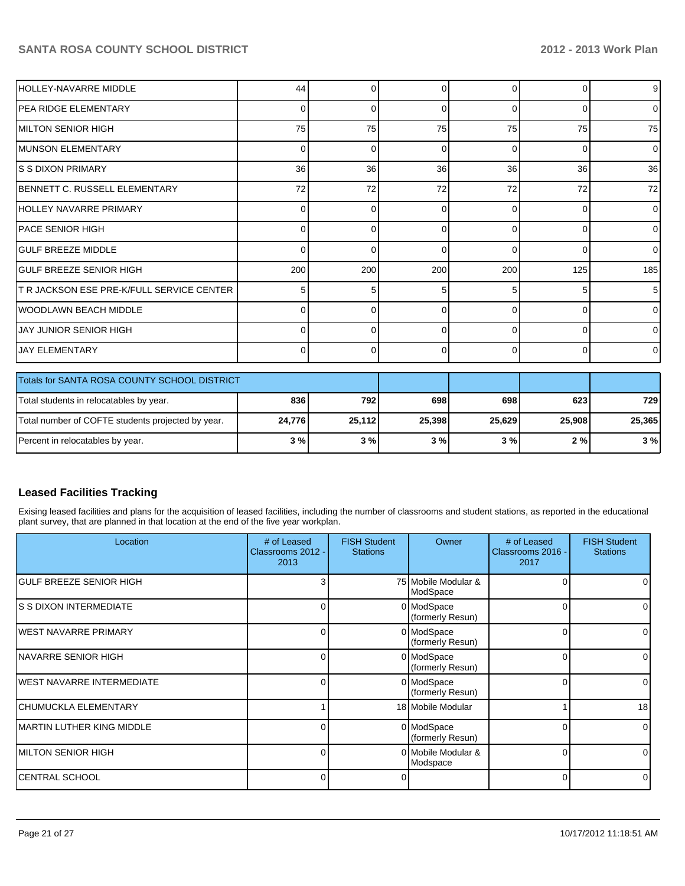| <b>HOLLEY-NAVARRE MIDDLE</b>                      | 44             | 0      | 0              | $\Omega$    | 0              | 9              |
|---------------------------------------------------|----------------|--------|----------------|-------------|----------------|----------------|
| IPEA RIDGE ELEMENTARY                             | $\Omega$       | 0      | 0              | $\Omega$    | 0              | $\overline{0}$ |
| IMILTON SENIOR HIGH                               | 75             | 75     | 75             | 75          | 75             | 75             |
| IMUNSON ELEMENTARY                                | $\overline{0}$ | 0      | 0              | $\Omega$    | 0              | $\overline{0}$ |
| <b>S S DIXON PRIMARY</b>                          | 36             | 36     | 36             | 36          | 36             | 36             |
| IBENNETT C. RUSSELL ELEMENTARY                    | 72             | 72     | 72             | 72          | 72             | 72             |
| HOLLEY NAVARRE PRIMARY                            | $\overline{0}$ | 0      | 0              | $\Omega$    | 0              | $\overline{0}$ |
| IPACE SENIOR HIGH                                 | 01             | 0      | 0              | $\Omega$    | 0              | $\overline{0}$ |
| <b>GULF BREEZE MIDDLE</b>                         | 01             | 0      | 0              | $\Omega$    | 0              | $\overline{0}$ |
| <b>GULF BREEZE SENIOR HIGH</b>                    | 200            | 200    | 200            | 200         | 125            | 185            |
| T R JACKSON ESE PRE-K/FULL SERVICE CENTER         | 5 <sup>1</sup> | 5      | 5              | 5           | 5              | 5              |
| <b>WOODLAWN BEACH MIDDLE</b>                      | $\overline{0}$ | 0      | 0              | $\Omega$    | 0              | $\overline{0}$ |
| <b>JAY JUNIOR SENIOR HIGH</b>                     | $\overline{0}$ | 0      | 0              | $\Omega$    | 0              | $\overline{0}$ |
| <b>JAY ELEMENTARY</b>                             | $\overline{0}$ | 0      | $\overline{0}$ | $\mathbf 0$ | $\overline{0}$ | $\overline{0}$ |
| Totals for SANTA ROSA COUNTY SCHOOL DISTRICT      |                |        |                |             |                |                |
| Total students in relocatables by year.           | 836            | 792    | 698            | 698         | 623            | 729            |
| Total number of COFTE students projected by year. | 24,776         | 25,112 | 25,398         | 25,629      | 25,908         | 25,365         |
| Percent in relocatables by year.                  | 3%             | 3%     | 3%             | 3%          | 2%             | 3%             |

## **Leased Facilities Tracking**

Exising leased facilities and plans for the acquisition of leased facilities, including the number of classrooms and student stations, as reported in the educational plant survey, that are planned in that location at the end of the five year workplan.

| Location                          | # of Leased<br>Classrooms 2012 -<br>2013 | <b>FISH Student</b><br><b>Stations</b> | Owner                           | # of Leased<br>Classrooms 2016 -<br>2017 | <b>FISH Student</b><br><b>Stations</b> |
|-----------------------------------|------------------------------------------|----------------------------------------|---------------------------------|------------------------------------------|----------------------------------------|
| IGULF BREEZE SENIOR HIGH          |                                          |                                        | 75 Mobile Modular &<br>ModSpace |                                          |                                        |
| IS S DIXON INTERMEDIATE           | ΩI                                       |                                        | 0 ModSpace<br>(formerly Resun)  | 0                                        | 0                                      |
| IWEST NAVARRE PRIMARY             | U                                        |                                        | 0 ModSpace<br>(formerly Resun)  | O                                        |                                        |
| INAVARRE SENIOR HIGH              | ΩI                                       |                                        | 0 ModSpace<br>(formerly Resun)  |                                          |                                        |
| IWEST NAVARRE INTERMEDIATE        | U                                        |                                        | 0 ModSpace<br>(formerly Resun)  | $\Omega$                                 |                                        |
| İCHUMUCKLA ELEMENTARY             |                                          |                                        | 18 Mobile Modular               |                                          | 18                                     |
| <b>IMARTIN LUTHER KING MIDDLE</b> | U.                                       |                                        | 0 ModSpace<br>(formerly Resun)  |                                          | ∩                                      |
| MILTON SENIOR HIGH                | $\Omega$                                 |                                        | 0 Mobile Modular &<br>Modspace  | 0                                        | 0                                      |
| CENTRAL SCHOOL                    | U                                        |                                        |                                 | O                                        | $\Omega$                               |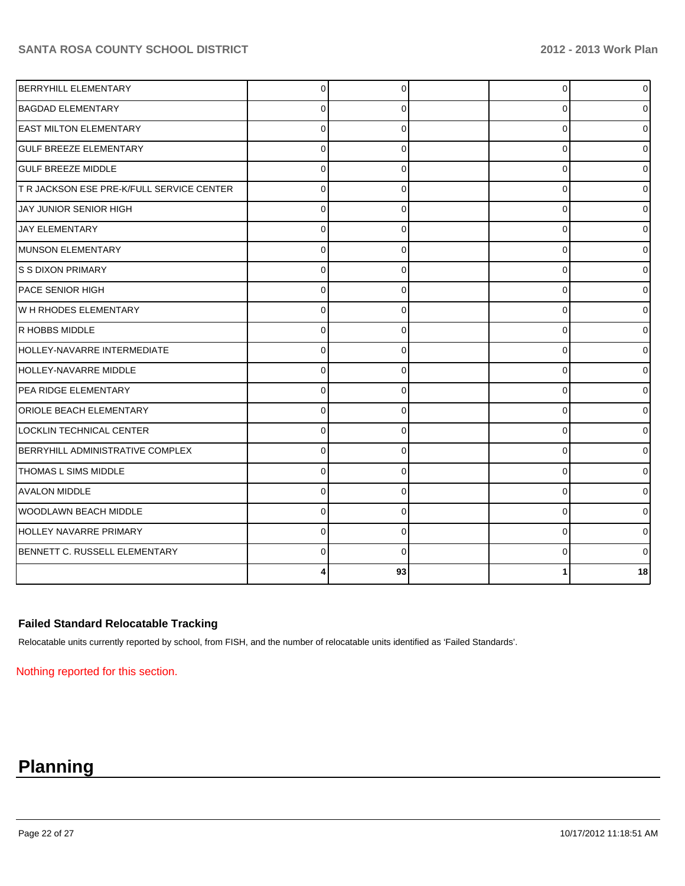| <b>BERRYHILL ELEMENTARY</b>               | $\Omega$ | $\Omega$ | $\overline{0}$ | 0        |
|-------------------------------------------|----------|----------|----------------|----------|
| <b>BAGDAD ELEMENTARY</b>                  | 0        | 0        | 0              | 0        |
| <b>EAST MILTON ELEMENTARY</b>             | $\Omega$ | O        | 0              | 0        |
| <b>GULF BREEZE ELEMENTARY</b>             | $\Omega$ | $\Omega$ | 0              | 0        |
| <b>GULF BREEZE MIDDLE</b>                 | $\Omega$ | $\Omega$ | $\Omega$       | U        |
| T R JACKSON ESE PRE-K/FULL SERVICE CENTER | $\Omega$ | $\Omega$ | $\Omega$       | 0        |
| JAY JUNIOR SENIOR HIGH                    | $\Omega$ | $\Omega$ | $\Omega$       |          |
| <b>JAY ELEMENTARY</b>                     | $\Omega$ | $\Omega$ | $\Omega$       |          |
| MUNSON ELEMENTARY                         | $\Omega$ | $\Omega$ | $\Omega$       |          |
| S S DIXON PRIMARY                         | $\Omega$ | 0        | 0              |          |
| <b>PACE SENIOR HIGH</b>                   | $\Omega$ | $\Omega$ | $\Omega$       | 0        |
| W H RHODES ELEMENTARY                     | $\Omega$ | $\Omega$ | $\Omega$       | 0        |
| R HOBBS MIDDLE                            | $\Omega$ | $\Omega$ | $\Omega$       | 0        |
| <b>HOLLEY-NAVARRE INTERMEDIATE</b>        | $\Omega$ | $\Omega$ | $\Omega$       | 0        |
| HOLLEY-NAVARRE MIDDLE                     | $\Omega$ | $\Omega$ | $\Omega$       | 0        |
| PEA RIDGE ELEMENTARY                      | $\Omega$ | $\Omega$ | $\Omega$       | 01       |
| <b>ORIOLE BEACH ELEMENTARY</b>            | $\Omega$ | $\Omega$ | $\Omega$       | ΩI       |
| LOCKLIN TECHNICAL CENTER                  | $\Omega$ | $\Omega$ | 0              | 01       |
| BERRYHILL ADMINISTRATIVE COMPLEX          | $\Omega$ | 0        | 0              | 01       |
| <b>THOMAS L SIMS MIDDLE</b>               | $\Omega$ | $\Omega$ | 0              | 01       |
| <b>AVALON MIDDLE</b>                      | $\Omega$ | 0        | $\Omega$       | $\Omega$ |
| WOODLAWN BEACH MIDDLE                     | $\Omega$ | $\Omega$ | 0              | 01       |
| HOLLEY NAVARRE PRIMARY                    | $\Omega$ | $\Omega$ | $\Omega$       | $\Omega$ |
| BENNETT C. RUSSELL ELEMENTARY             | $\Omega$ | $\Omega$ | $\Omega$       | 01       |
|                                           |          | 93       |                | 18       |

## **Failed Standard Relocatable Tracking**

Relocatable units currently reported by school, from FISH, and the number of relocatable units identified as 'Failed Standards'.

Nothing reported for this section.

# **Planning**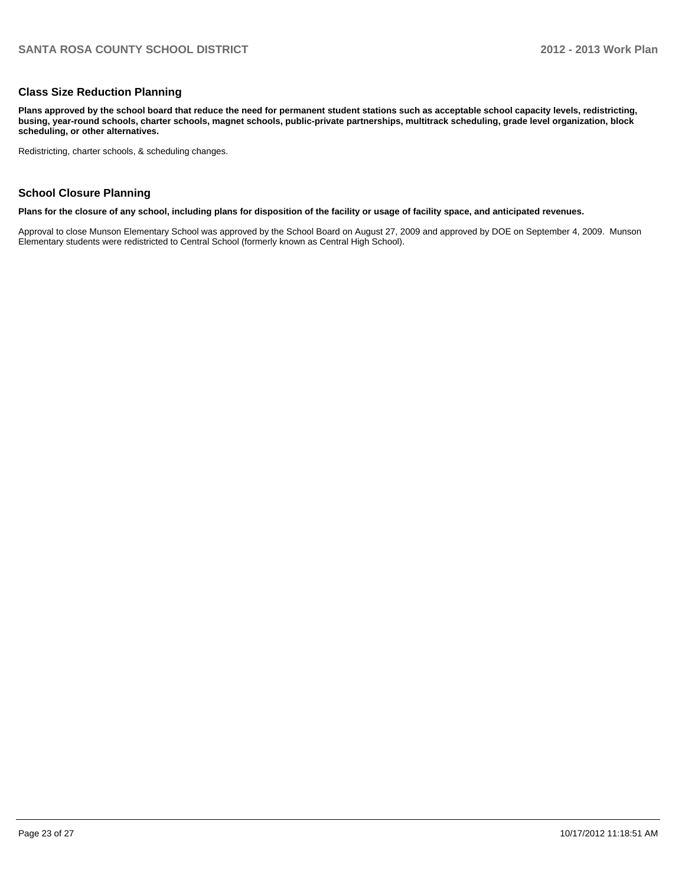#### **Class Size Reduction Planning**

**Plans approved by the school board that reduce the need for permanent student stations such as acceptable school capacity levels, redistricting, busing, year-round schools, charter schools, magnet schools, public-private partnerships, multitrack scheduling, grade level organization, block scheduling, or other alternatives.**

Redistricting, charter schools, & scheduling changes.

### **School Closure Planning**

**Plans for the closure of any school, including plans for disposition of the facility or usage of facility space, and anticipated revenues.**

Approval to close Munson Elementary School was approved by the School Board on August 27, 2009 and approved by DOE on September 4, 2009. Munson Elementary students were redistricted to Central School (formerly known as Central High School).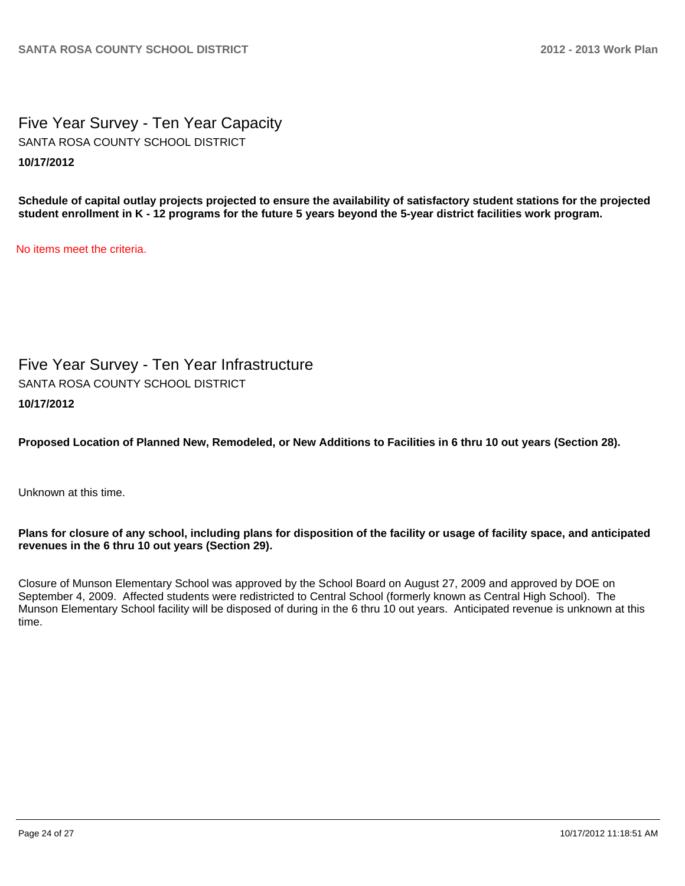Five Year Survey - Ten Year Capacity **10/17/2012** SANTA ROSA COUNTY SCHOOL DISTRICT

**Schedule of capital outlay projects projected to ensure the availability of satisfactory student stations for the projected student enrollment in K - 12 programs for the future 5 years beyond the 5-year district facilities work program.**

No items meet the criteria.

Five Year Survey - Ten Year Infrastructure **10/17/2012** SANTA ROSA COUNTY SCHOOL DISTRICT

**Proposed Location of Planned New, Remodeled, or New Additions to Facilities in 6 thru 10 out years (Section 28).**

Unknown at this time.

### **Plans for closure of any school, including plans for disposition of the facility or usage of facility space, and anticipated revenues in the 6 thru 10 out years (Section 29).**

Closure of Munson Elementary School was approved by the School Board on August 27, 2009 and approved by DOE on September 4, 2009. Affected students were redistricted to Central School (formerly known as Central High School). The Munson Elementary School facility will be disposed of during in the 6 thru 10 out years. Anticipated revenue is unknown at this time.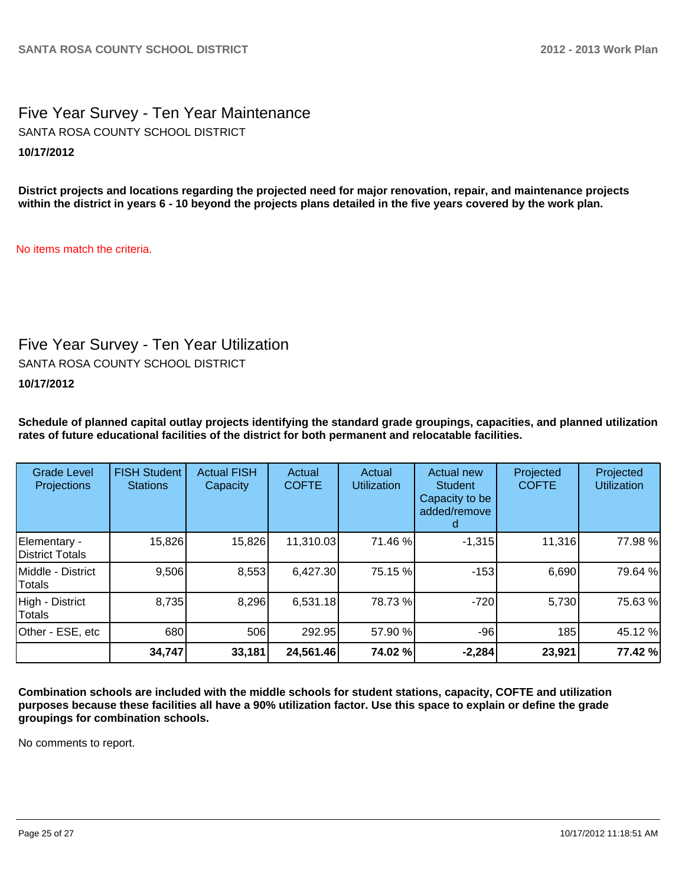Five Year Survey - Ten Year Maintenance **10/17/2012** SANTA ROSA COUNTY SCHOOL DISTRICT

**District projects and locations regarding the projected need for major renovation, repair, and maintenance projects within the district in years 6 - 10 beyond the projects plans detailed in the five years covered by the work plan.**

No items match the criteria.

## Five Year Survey - Ten Year Utilization

SANTA ROSA COUNTY SCHOOL DISTRICT

## **10/17/2012**

**Schedule of planned capital outlay projects identifying the standard grade groupings, capacities, and planned utilization rates of future educational facilities of the district for both permanent and relocatable facilities.**

| <b>Grade Level</b><br>Projections  | <b>FISH Student</b><br><b>Stations</b> | <b>Actual FISH</b><br>Capacity | Actual<br><b>COFTE</b> | Actual<br><b>Utilization</b> | Actual new<br><b>Student</b><br>Capacity to be<br>added/remove<br>d | Projected<br><b>COFTE</b> | Projected<br><b>Utilization</b> |
|------------------------------------|----------------------------------------|--------------------------------|------------------------|------------------------------|---------------------------------------------------------------------|---------------------------|---------------------------------|
| Elementary -<br>District Totals    | 15,826                                 | 15,826                         | 11,310.03              | 71.46 %                      | $-1,315$                                                            | 11,316                    | 77.98%                          |
| Middle - District<br><b>Totals</b> | 9,506                                  | 8,553                          | 6,427.30               | 75.15 %                      | $-153$                                                              | 6,690                     | 79.64%                          |
| High - District<br>Totals          | 8,735                                  | 8,296                          | 6,531.18               | 78.73%                       | $-720$                                                              | 5,730                     | 75.63%                          |
| Other - ESE, etc                   | 680                                    | 506                            | 292.95                 | 57.90 %                      | $-96$                                                               | 185                       | 45.12%                          |
|                                    | 34,747                                 | 33,181                         | 24,561.46              | 74.02 %                      | $-2,284$                                                            | 23,921                    | 77.42 %                         |

**Combination schools are included with the middle schools for student stations, capacity, COFTE and utilization purposes because these facilities all have a 90% utilization factor. Use this space to explain or define the grade groupings for combination schools.**

No comments to report.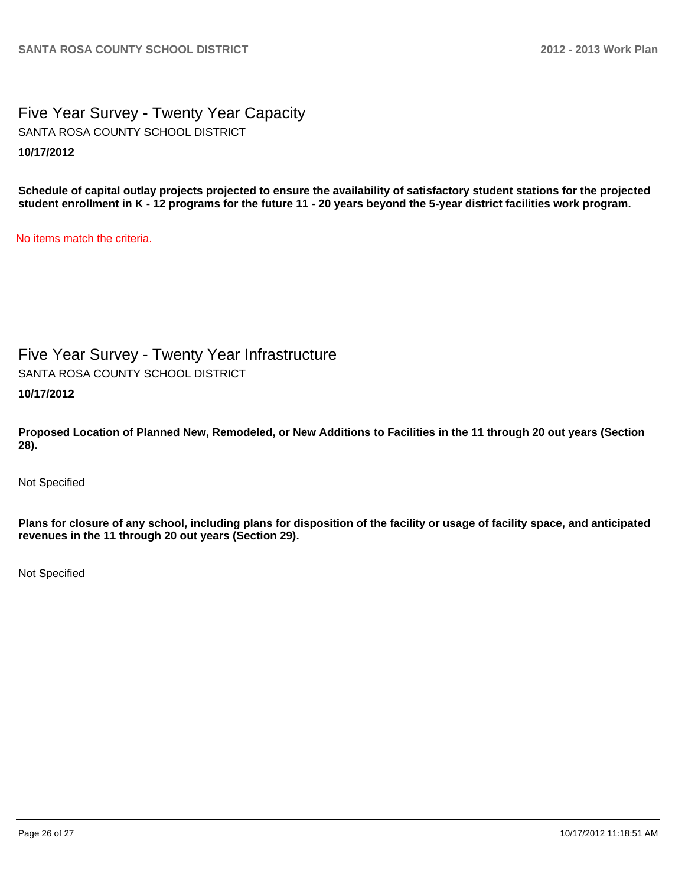Five Year Survey - Twenty Year Capacity **10/17/2012** SANTA ROSA COUNTY SCHOOL DISTRICT

**Schedule of capital outlay projects projected to ensure the availability of satisfactory student stations for the projected student enrollment in K - 12 programs for the future 11 - 20 years beyond the 5-year district facilities work program.**

No items match the criteria.

Five Year Survey - Twenty Year Infrastructure

SANTA ROSA COUNTY SCHOOL DISTRICT

**10/17/2012**

**Proposed Location of Planned New, Remodeled, or New Additions to Facilities in the 11 through 20 out years (Section 28).**

Not Specified

**Plans for closure of any school, including plans for disposition of the facility or usage of facility space, and anticipated revenues in the 11 through 20 out years (Section 29).**

Not Specified